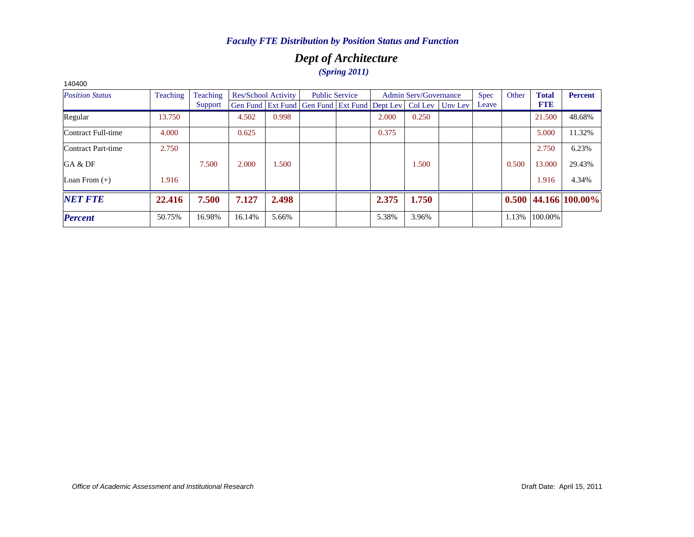# *Dept of Architecture (Spring 2011)*

| 140400                 |          |          |        |                            |                                                      |                       |       |                       |         |       |       |              |                |
|------------------------|----------|----------|--------|----------------------------|------------------------------------------------------|-----------------------|-------|-----------------------|---------|-------|-------|--------------|----------------|
| <b>Position Status</b> | Teaching | Teaching |        | <b>Res/School Activity</b> |                                                      | <b>Public Service</b> |       | Admin Serv/Governance |         | Spec  | Other | <b>Total</b> | <b>Percent</b> |
|                        |          | Support  |        |                            | Gen Fund   Ext Fund   Gen Fund   Ext Fund   Dept Lev |                       |       | Col Lev               | Unv Lev | Leave |       | <b>FTE</b>   |                |
| Regular                | 13.750   |          | 4.502  | 0.998                      |                                                      |                       | 2.000 | 0.250                 |         |       |       | 21.500       | 48.68%         |
| Contract Full-time     | 4.000    |          | 0.625  |                            |                                                      |                       | 0.375 |                       |         |       |       | 5.000        | 11.32%         |
| Contract Part-time     | 2.750    |          |        |                            |                                                      |                       |       |                       |         |       |       | 2.750        | 6.23%          |
| GA & DF                |          | 7.500    | 2.000  | 1.500                      |                                                      |                       |       | 1.500                 |         |       | 0.500 | 13.000       | 29.43%         |
| Loan From $(+)$        | 1.916    |          |        |                            |                                                      |                       |       |                       |         |       |       | 1.916        | 4.34%          |
| <b>NET FTE</b>         | 22.416   | 7.500    | 7.127  | 2.498                      |                                                      |                       | 2.375 | 1.750                 |         |       | 0.500 |              | 44.166 100.00% |
| <b>Percent</b>         | 50.75%   | 16.98%   | 16.14% | 5.66%                      |                                                      |                       | 5.38% | 3.96%                 |         |       | 1.13% | 100.00%      |                |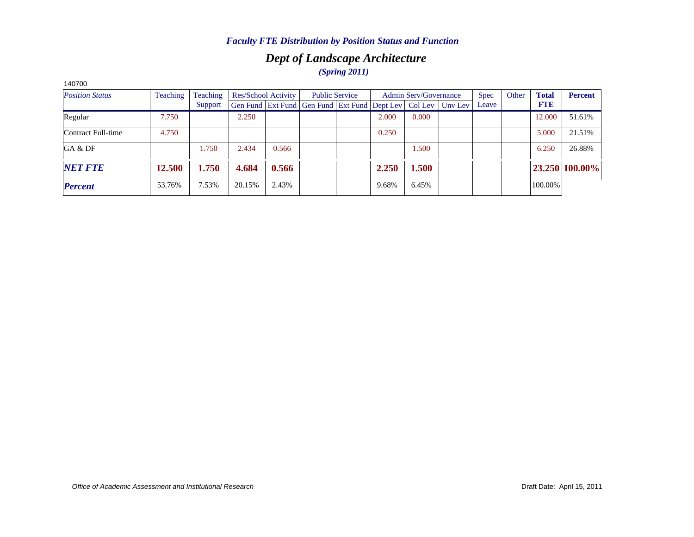# *Dept of Landscape Architecture (Spring 2011)*

| 140700                 |          |          |        |                            |                                                                |       |                              |         |             |       |              |                |
|------------------------|----------|----------|--------|----------------------------|----------------------------------------------------------------|-------|------------------------------|---------|-------------|-------|--------------|----------------|
| <b>Position Status</b> | Teaching | Teaching |        | <b>Res/School Activity</b> | <b>Public Service</b>                                          |       | <b>Admin Serv/Governance</b> |         | <b>Spec</b> | Other | <b>Total</b> | <b>Percent</b> |
|                        |          | Support  |        |                            | Gen Fund   Ext Fund   Gen Fund   Ext Fund   Dept Lev   Col Lev |       |                              | Unv Lev | Leave       |       | <b>FTE</b>   |                |
| Regular                | 7.750    |          | 2.250  |                            |                                                                | 2.000 | 0.000                        |         |             |       | 12.000       | 51.61%         |
| Contract Full-time     | 4.750    |          |        |                            |                                                                | 0.250 |                              |         |             |       | 5.000        | 21.51%         |
| GA & DF                |          | 1.750    | 2.434  | 0.566                      |                                                                |       | 1.500                        |         |             |       | 6.250        | 26.88%         |
| <b>NET FTE</b>         | 12.500   | 1.750    | 4.684  | 0.566                      |                                                                | 2.250 | 1.500                        |         |             |       |              | 23.250 100.00% |
| <b>Percent</b>         | 53.76%   | 7.53%    | 20.15% | 2.43%                      |                                                                | 9.68% | 6.45%                        |         |             |       | 100.00%      |                |

*Office of Academic Assessment and Institutional Research*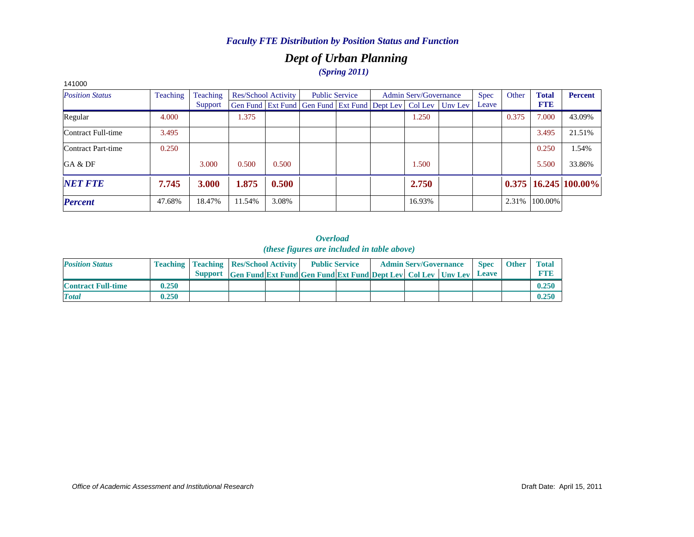# *Dept of Urban Planning (Spring 2011)*

| 141000                 |          |          |        |                            |                                                                |  |                              |         |             |       |              |                            |
|------------------------|----------|----------|--------|----------------------------|----------------------------------------------------------------|--|------------------------------|---------|-------------|-------|--------------|----------------------------|
| <b>Position Status</b> | Teaching | Teaching |        | <b>Res/School Activity</b> | <b>Public Service</b>                                          |  | <b>Admin Serv/Governance</b> |         | <b>Spec</b> | Other | <b>Total</b> | <b>Percent</b>             |
|                        |          | Support  |        |                            | Gen Fund   Ext Fund   Gen Fund   Ext Fund   Dept Lev   Col Lev |  |                              | Uny Lev | Leave       |       | <b>FTE</b>   |                            |
| Regular                | 4.000    |          | 1.375  |                            |                                                                |  | 1.250                        |         |             | 0.375 | 7.000        | 43.09%                     |
| Contract Full-time     | 3.495    |          |        |                            |                                                                |  |                              |         |             |       | 3.495        | 21.51%                     |
| Contract Part-time     | 0.250    |          |        |                            |                                                                |  |                              |         |             |       | 0.250        | 1.54%                      |
| GA & DF                |          | 3.000    | 0.500  | 0.500                      |                                                                |  | 1.500                        |         |             |       | 5.500        | 33.86%                     |
| <b>NET FTE</b>         | 7.745    | 3.000    | 1.875  | 0.500                      |                                                                |  | 2.750                        |         |             |       |              | $0.375$   16.245   100.00% |
| <b>Percent</b>         | 47.68%   | 18.47%   | 11.54% | 3.08%                      |                                                                |  | 16.93%                       |         |             | 2.31% | 100.00%      |                            |

| <b>Position Status</b>    |       | <b>Teaching   Teaching   Res/School Activity  </b> |                                                                      | <b>Public Service</b> |  | <b>Admin Serv/Governance</b> | <b>Spec</b>  | <b>Other</b> | <b>Total</b> |
|---------------------------|-------|----------------------------------------------------|----------------------------------------------------------------------|-----------------------|--|------------------------------|--------------|--------------|--------------|
|                           |       |                                                    | Support Gen Fund Ext Fund Gen Fund Ext Fund Dept Lev Col Lev Unv Lev |                       |  |                              | <b>Leave</b> |              | FTH          |
| <b>Contract Full-time</b> | 0.250 |                                                    |                                                                      |                       |  |                              |              |              | 0.250        |
| <b>Total</b>              | 0.250 |                                                    |                                                                      |                       |  |                              |              |              | 0.250        |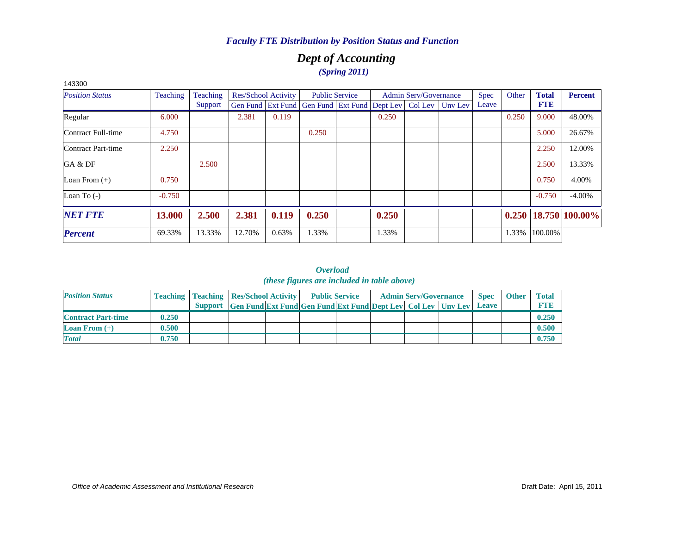# *Dept of Accounting (Spring 2011)*

| 143300                 |               |          |                            |       |                                                                          |                       |       |                       |             |       |              |                |
|------------------------|---------------|----------|----------------------------|-------|--------------------------------------------------------------------------|-----------------------|-------|-----------------------|-------------|-------|--------------|----------------|
| <b>Position Status</b> | Teaching      | Teaching | <b>Res/School Activity</b> |       |                                                                          | <b>Public Service</b> |       | Admin Serv/Governance | <b>Spec</b> | Other | <b>Total</b> | <b>Percent</b> |
|                        |               | Support  |                            |       | Gen Fund   Ext Fund   Gen Fund   Ext Fund   Dept Lev   Col Lev   Unv Lev |                       |       |                       | Leave       |       | <b>FTE</b>   |                |
| Regular                | 6.000         |          | 2.381                      | 0.119 |                                                                          |                       | 0.250 |                       |             | 0.250 | 9.000        | 48.00%         |
| Contract Full-time     | 4.750         |          |                            |       | 0.250                                                                    |                       |       |                       |             |       | 5.000        | 26.67%         |
| Contract Part-time     | 2.250         |          |                            |       |                                                                          |                       |       |                       |             |       | 2.250        | 12.00%         |
| GA & DF                |               | 2.500    |                            |       |                                                                          |                       |       |                       |             |       | 2.500        | 13.33%         |
| Loan From $(+)$        | 0.750         |          |                            |       |                                                                          |                       |       |                       |             |       | 0.750        | 4.00%          |
| Loan To $(-)$          | $-0.750$      |          |                            |       |                                                                          |                       |       |                       |             |       | $-0.750$     | $-4.00\%$      |
| <b>NET FTE</b>         | <b>13.000</b> | 2.500    | 2.381                      | 0.119 | 0.250                                                                    |                       | 0.250 |                       |             | 0.250 |              | 18.750 100.00% |
| <b>Percent</b>         | 69.33%        | 13.33%   | 12.70%                     | 0.63% | 1.33%                                                                    |                       | 1.33% |                       |             | 1.33% | 100.00%      |                |

| <b>Position Status</b>    |       | <b>Teaching   Teaching   Res/School Activity   Public Service</b> |                                                                      |  |  | <b>Admin Serv/Governance</b> | <b>Spec</b>  | <b>Other</b> | <b>Total</b> |
|---------------------------|-------|-------------------------------------------------------------------|----------------------------------------------------------------------|--|--|------------------------------|--------------|--------------|--------------|
|                           |       |                                                                   | Support Gen Fund Ext Fund Gen Fund Ext Fund Dept Lev Col Lev Unv Lev |  |  |                              | <b>Leave</b> |              | <b>FTE</b>   |
| <b>Contract Part-time</b> | 0.250 |                                                                   |                                                                      |  |  |                              |              |              | 0.250        |
| <b>Loan From</b> $(+)$    | 0.500 |                                                                   |                                                                      |  |  |                              |              |              | 0.500        |
| <b>Total</b>              | 0.750 |                                                                   |                                                                      |  |  |                              |              |              | 0.750        |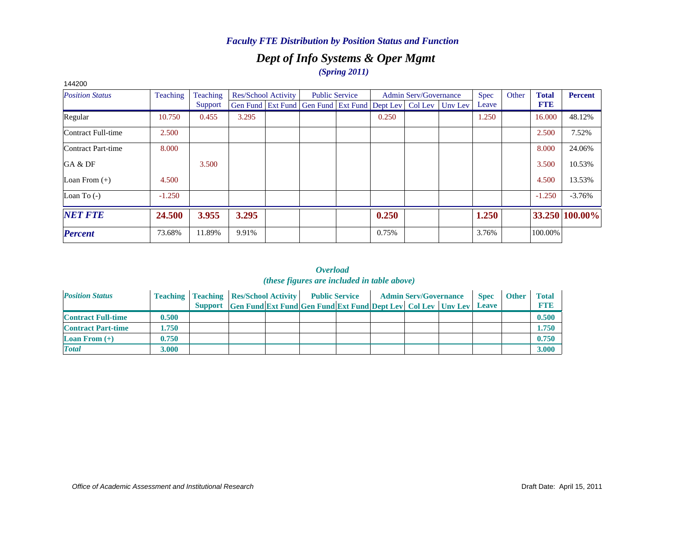## *Dept of Info Systems & Oper Mgmt (Spring 2011)*

| 144200                 |                 |                 |                     |                                                                          |       |                              |             |       |              |                |
|------------------------|-----------------|-----------------|---------------------|--------------------------------------------------------------------------|-------|------------------------------|-------------|-------|--------------|----------------|
| <b>Position Status</b> | <b>Teaching</b> | <b>Teaching</b> | Res/School Activity | <b>Public Service</b>                                                    |       | <b>Admin Serv/Governance</b> | <b>Spec</b> | Other | <b>Total</b> | Percent        |
|                        |                 | Support         |                     | Gen Fund   Ext Fund   Gen Fund   Ext Fund   Dept Lev   Col Lev   Unv Lev |       |                              | Leave       |       | <b>FTE</b>   |                |
| Regular                | 10.750          | 0.455           | 3.295               |                                                                          | 0.250 |                              | 1.250       |       | 16.000       | 48.12%         |
| Contract Full-time     | 2.500           |                 |                     |                                                                          |       |                              |             |       | 2.500        | 7.52%          |
| Contract Part-time     | 8.000           |                 |                     |                                                                          |       |                              |             |       | 8.000        | 24.06%         |
| GA & DF                |                 | 3.500           |                     |                                                                          |       |                              |             |       | 3.500        | 10.53%         |
| Loan From $(+)$        | 4.500           |                 |                     |                                                                          |       |                              |             |       | 4.500        | 13.53%         |
| Loan To $(-)$          | $-1.250$        |                 |                     |                                                                          |       |                              |             |       | $-1.250$     | $-3.76%$       |
| <b>NET FTE</b>         | 24.500          | 3.955           | 3.295               |                                                                          | 0.250 |                              | 1.250       |       |              | 33.250 100.00% |
| <b>Percent</b>         | 73.68%          | 11.89%          | 9.91%               |                                                                          | 0.75% |                              | 3.76%       |       | 100.00%      |                |

| <b>Position Status</b>    |       | <b>Teaching   Teaching   Res/School Activity</b> |  | <b>Public Service</b>                                                |  | <b>Admin Serv/Governance</b> | <b>Spec</b>  | <b>Other</b> | Total      |
|---------------------------|-------|--------------------------------------------------|--|----------------------------------------------------------------------|--|------------------------------|--------------|--------------|------------|
|                           |       |                                                  |  | Support Gen Fund Ext Fund Gen Fund Ext Fund Dept Lev Col Lev Unv Lev |  |                              | <b>Leave</b> |              | <b>FTE</b> |
| <b>Contract Full-time</b> | 0.500 |                                                  |  |                                                                      |  |                              |              |              | 0.500      |
| <b>Contract Part-time</b> | 1.750 |                                                  |  |                                                                      |  |                              |              |              | 1.750      |
| <b>Loan From</b> $(+)$    | 0.750 |                                                  |  |                                                                      |  |                              |              |              | 0.750      |
| <b>Total</b>              | 3.000 |                                                  |  |                                                                      |  |                              |              |              | 3.000      |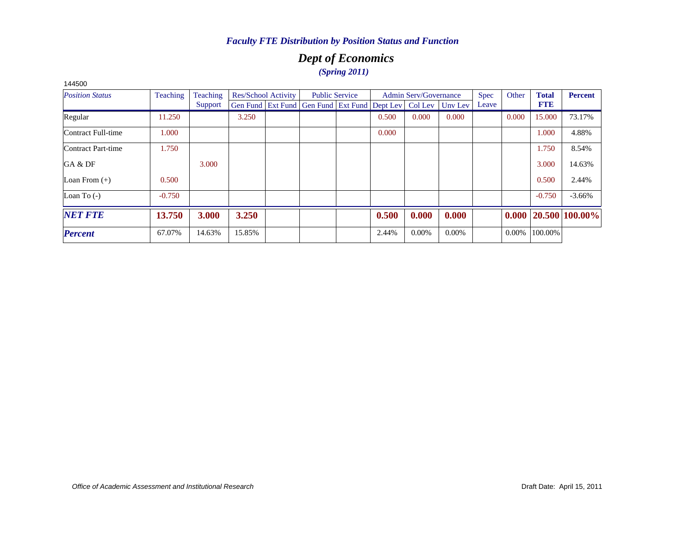# *Dept of Economics (Spring 2011)*

| 1990V                  |                 |          |        |                            |                       |                                                                |                              |          |             |          |              |                            |
|------------------------|-----------------|----------|--------|----------------------------|-----------------------|----------------------------------------------------------------|------------------------------|----------|-------------|----------|--------------|----------------------------|
| <b>Position Status</b> | <b>Teaching</b> | Teaching |        | <b>Res/School Activity</b> | <b>Public Service</b> |                                                                | <b>Admin Serv/Governance</b> |          | <b>Spec</b> | Other    | <b>Total</b> | <b>Percent</b>             |
|                        |                 | Support  |        |                            |                       | Gen Fund   Ext Fund   Gen Fund   Ext Fund   Dept Lev   Col Lev |                              | Unv Lev  | Leave       |          | <b>FTE</b>   |                            |
| Regular                | 11.250          |          | 3.250  |                            |                       | 0.500                                                          | 0.000                        | 0.000    |             | 0.000    | 15.000       | 73.17%                     |
| Contract Full-time     | 1.000           |          |        |                            |                       | 0.000                                                          |                              |          |             |          | 1.000        | 4.88%                      |
| Contract Part-time     | 1.750           |          |        |                            |                       |                                                                |                              |          |             |          | 1.750        | 8.54%                      |
| GA & DF                |                 | 3.000    |        |                            |                       |                                                                |                              |          |             |          | 3.000        | 14.63%                     |
| Loan From $(+)$        | 0.500           |          |        |                            |                       |                                                                |                              |          |             |          | 0.500        | 2.44%                      |
| Loan To $(-)$          | $-0.750$        |          |        |                            |                       |                                                                |                              |          |             |          | $-0.750$     | $-3.66\%$                  |
| <b>NET FTE</b>         | 13.750          | 3.000    | 3.250  |                            |                       | 0.500                                                          | 0.000                        | 0.000    |             |          |              | $0.000$   20.500   100.00% |
| <b>Percent</b>         | 67.07%          | 14.63%   | 15.85% |                            |                       | 2.44%                                                          | $0.00\%$                     | $0.00\%$ |             | $0.00\%$ | 100.00%      |                            |
|                        |                 |          |        |                            |                       |                                                                |                              |          |             |          |              |                            |

144500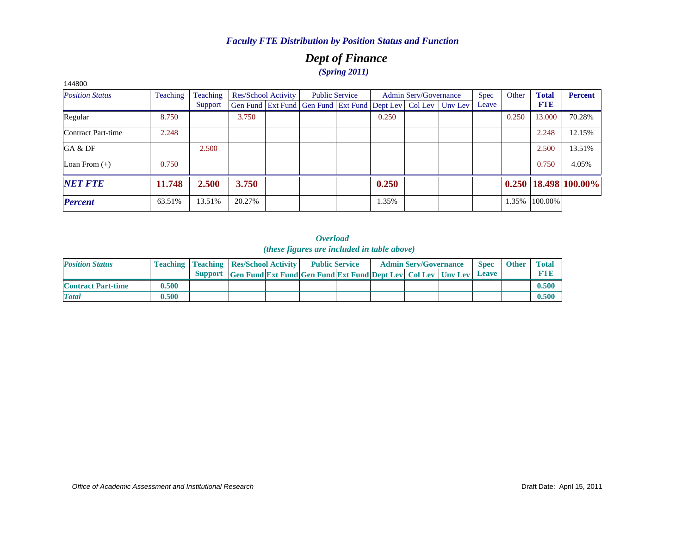# *Dept of Finance (Spring 2011)*

| 144800                 |          |          |        |                     |                                                                |       |                              |         |             |       |              |                            |
|------------------------|----------|----------|--------|---------------------|----------------------------------------------------------------|-------|------------------------------|---------|-------------|-------|--------------|----------------------------|
| <b>Position Status</b> | Teaching | Teaching |        | Res/School Activity | <b>Public Service</b>                                          |       | <b>Admin Serv/Governance</b> |         | <b>Spec</b> | Other | <b>Total</b> | <b>Percent</b>             |
|                        |          | Support  |        |                     | Gen Fund   Ext Fund   Gen Fund   Ext Fund   Dept Lev   Col Lev |       |                              | Unv Lev | Leave       |       | <b>FTE</b>   |                            |
| Regular                | 8.750    |          | 3.750  |                     |                                                                | 0.250 |                              |         |             | 0.250 | 13.000       | 70.28%                     |
| Contract Part-time     | 2.248    |          |        |                     |                                                                |       |                              |         |             |       | 2.248        | 12.15%                     |
| GA & DF                |          | 2.500    |        |                     |                                                                |       |                              |         |             |       | 2.500        | 13.51%                     |
| Loan From $(+)$        | 0.750    |          |        |                     |                                                                |       |                              |         |             |       | 0.750        | 4.05%                      |
| <b>NET FTE</b>         | 11.748   | 2.500    | 3.750  |                     |                                                                | 0.250 |                              |         |             |       |              | $0.250$   18.498   100.00% |
| <b>Percent</b>         | 63.51%   | 13.51%   | 20.27% |                     |                                                                | 1.35% |                              |         |             | 1.35% | 100.00%      |                            |

| <b>Position Status</b>    |       | <b>Teaching   Teaching   Res/School Activity  </b> |                                                                      | <b>Public Service</b> |  | <b>Admin Serv/Governance</b> | <b>Spec</b>  | <b>Other</b> | <b>Total</b> |
|---------------------------|-------|----------------------------------------------------|----------------------------------------------------------------------|-----------------------|--|------------------------------|--------------|--------------|--------------|
|                           |       |                                                    | Support Gen Fund Ext Fund Gen Fund Ext Fund Dept Lev Col Lev Unv Lev |                       |  |                              | <b>Leave</b> |              | <b>FTE</b>   |
| <b>Contract Part-time</b> | 0.500 |                                                    |                                                                      |                       |  |                              |              |              | 0.500        |
| <b>Total</b>              | 0.500 |                                                    |                                                                      |                       |  |                              |              |              | 0.500        |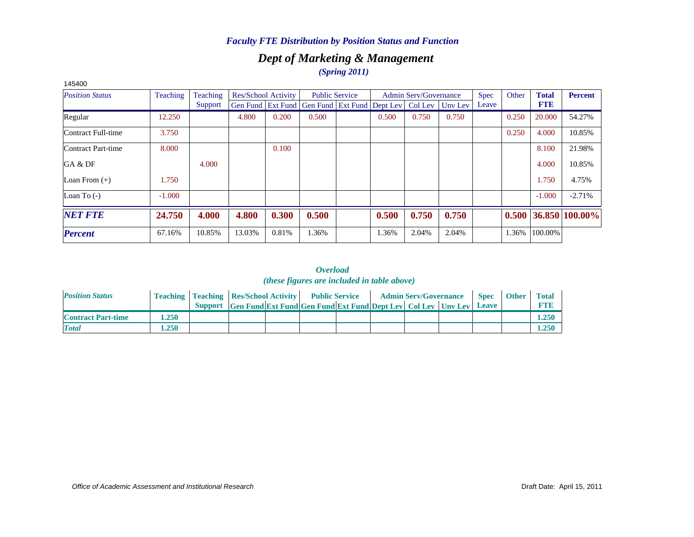## *Dept of Marketing & Management (Spring 2011)*

| 145400                 |          |          |                            |       |                                              |                       |       |                              |         |       |       |              |                |
|------------------------|----------|----------|----------------------------|-------|----------------------------------------------|-----------------------|-------|------------------------------|---------|-------|-------|--------------|----------------|
| <b>Position Status</b> | Teaching | Teaching | <b>Res/School Activity</b> |       |                                              | <b>Public Service</b> |       | <b>Admin Serv/Governance</b> |         | Spec  | Other | <b>Total</b> | <b>Percent</b> |
|                        |          | Support  |                            |       | Gen Fund Ext Fund Gen Fund Ext Fund Dept Lev |                       |       | Col Lev                      | Unv Lev | Leave |       | <b>FTE</b>   |                |
| Regular                | 12.250   |          | 4.800                      | 0.200 | 0.500                                        |                       | 0.500 | 0.750                        | 0.750   |       | 0.250 | 20.000       | 54.27%         |
| Contract Full-time     | 3.750    |          |                            |       |                                              |                       |       |                              |         |       | 0.250 | 4.000        | 10.85%         |
| Contract Part-time     | 8.000    |          |                            | 0.100 |                                              |                       |       |                              |         |       |       | 8.100        | 21.98%         |
| GA & DF                |          | 4.000    |                            |       |                                              |                       |       |                              |         |       |       | 4.000        | 10.85%         |
| Loan From $(+)$        | 1.750    |          |                            |       |                                              |                       |       |                              |         |       |       | 1.750        | 4.75%          |
| Loan To $(-)$          | $-1.000$ |          |                            |       |                                              |                       |       |                              |         |       |       | $-1.000$     | $-2.71%$       |
| <b>NET FTE</b>         | 24.750   | 4.000    | 4.800                      | 0.300 | 0.500                                        |                       | 0.500 | 0.750                        | 0.750   |       | 0.500 |              | 36.850 100.00% |
| <b>Percent</b>         | 67.16%   | 10.85%   | 13.03%                     | 0.81% | 1.36%                                        |                       | 1.36% | 2.04%                        | 2.04%   |       | 1.36% | 100.00%      |                |

| <b>Position Status</b>    |      | <b>Teaching   Teaching   Res/School Activity   Public Service</b> |                                                                      |  |  | <b>Admin Serv/Governance</b> | <b>Spec</b> | <b>Other</b> | <b>Total</b> |
|---------------------------|------|-------------------------------------------------------------------|----------------------------------------------------------------------|--|--|------------------------------|-------------|--------------|--------------|
|                           |      |                                                                   | Support Gen Fund Ext Fund Gen Fund Ext Fund Dept Lev Col Lev Unv Lev |  |  |                              | Leave       |              | <b>FTE</b>   |
| <b>Contract Part-time</b> | .250 |                                                                   |                                                                      |  |  |                              |             |              | 1.250        |
| <b>Total</b>              | .250 |                                                                   |                                                                      |  |  |                              |             |              | 1.250        |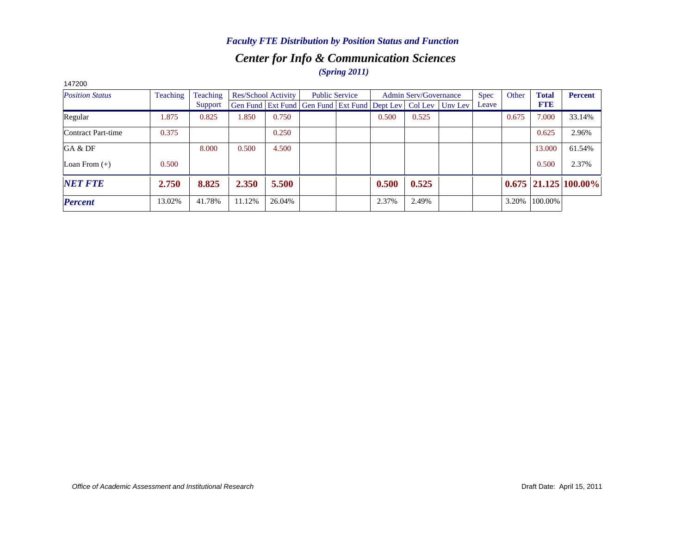# *Center for Info & Communication Sciences (Spring 2011)*

| 147200                 |          |          |        |                     |                                                                  |       |                              |             |       |              |                            |
|------------------------|----------|----------|--------|---------------------|------------------------------------------------------------------|-------|------------------------------|-------------|-------|--------------|----------------------------|
| <b>Position Status</b> | Teaching | Teaching |        | Res/School Activity | <b>Public Service</b>                                            |       | <b>Admin Serv/Governance</b> | <b>Spec</b> | Other | <b>Total</b> | <b>Percent</b>             |
|                        |          | Support  |        |                     | Gen Fund Ext Fund Gen Fund Ext Fund Dept Lev   Col Lev   Unv Lev |       |                              | Leave       |       | <b>FTE</b>   |                            |
| Regular                | 1.875    | 0.825    | 1.850  | 0.750               |                                                                  | 0.500 | 0.525                        |             | 0.675 | 7.000        | 33.14%                     |
| Contract Part-time     | 0.375    |          |        | 0.250               |                                                                  |       |                              |             |       | 0.625        | 2.96%                      |
| GA & DF                |          | 8.000    | 0.500  | 4.500               |                                                                  |       |                              |             |       | 13.000       | 61.54%                     |
| Loan From $(+)$        | 0.500    |          |        |                     |                                                                  |       |                              |             |       | 0.500        | 2.37%                      |
| <b>NET FTE</b>         | 2.750    | 8.825    | 2.350  | 5.500               |                                                                  | 0.500 | 0.525                        |             |       |              | $0.675$   21.125   100.00% |
| <b>Percent</b>         | 13.02%   | 41.78%   | 11.12% | 26.04%              |                                                                  | 2.37% | 2.49%                        |             | 3.20% | 100.00%      |                            |

*Office of Academic Assessment and Institutional Research*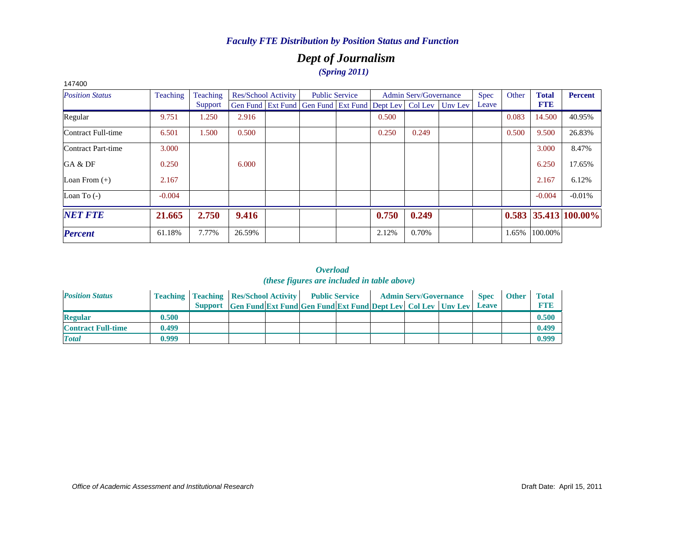# *Dept of Journalism (Spring 2011)*

| 147400                 |          |          |        |                            |                                                                |       |                              |         |       |       |              |                        |
|------------------------|----------|----------|--------|----------------------------|----------------------------------------------------------------|-------|------------------------------|---------|-------|-------|--------------|------------------------|
| <b>Position Status</b> | Teaching | Teaching |        | <b>Res/School Activity</b> | <b>Public Service</b>                                          |       | <b>Admin Serv/Governance</b> |         | Spec  | Other | <b>Total</b> | Percent                |
|                        |          | Support  |        |                            | Gen Fund   Ext Fund   Gen Fund   Ext Fund   Dept Lev   Col Lev |       |                              | Unv Lev | Leave |       | <b>FTE</b>   |                        |
| Regular                | 9.751    | 1.250    | 2.916  |                            |                                                                | 0.500 |                              |         |       | 0.083 | 14.500       | 40.95%                 |
| Contract Full-time     | 6.501    | 1.500    | 0.500  |                            |                                                                | 0.250 | 0.249                        |         |       | 0.500 | 9.500        | 26.83%                 |
| Contract Part-time     | 3.000    |          |        |                            |                                                                |       |                              |         |       |       | 3.000        | 8.47%                  |
| GA & DF                | 0.250    |          | 6.000  |                            |                                                                |       |                              |         |       |       | 6.250        | 17.65%                 |
| Loan From $(+)$        | 2.167    |          |        |                            |                                                                |       |                              |         |       |       | 2.167        | 6.12%                  |
| Loan To $(-)$          | $-0.004$ |          |        |                            |                                                                |       |                              |         |       |       | $-0.004$     | $-0.01%$               |
| <b>NET FTE</b>         | 21.665   | 2.750    | 9.416  |                            |                                                                | 0.750 | 0.249                        |         |       |       |              | $0.583$ 35.413 100.00% |
| <b>Percent</b>         | 61.18%   | 7.77%    | 26.59% |                            |                                                                | 2.12% | 0.70%                        |         |       | 1.65% | 100.00%      |                        |

| <b>Position Status</b>    |       | <b>Teaching   Teaching   Res/School Activity   Public Service</b> |                                                                      |  |  | <b>Admin Serv/Governance</b> | <b>Spec</b>  | <b>Other</b> | <b>Total</b> |
|---------------------------|-------|-------------------------------------------------------------------|----------------------------------------------------------------------|--|--|------------------------------|--------------|--------------|--------------|
|                           |       |                                                                   | Support Gen Fund Ext Fund Gen Fund Ext Fund Dept Lev Col Lev Unv Lev |  |  |                              | <b>Leave</b> |              | <b>FTP</b>   |
| <b>Regular</b>            | 0.500 |                                                                   |                                                                      |  |  |                              |              |              | 0.500        |
| <b>Contract Full-time</b> | 0.499 |                                                                   |                                                                      |  |  |                              |              |              | 0.499        |
| <b>Total</b>              | 0.999 |                                                                   |                                                                      |  |  |                              |              |              | 0.999        |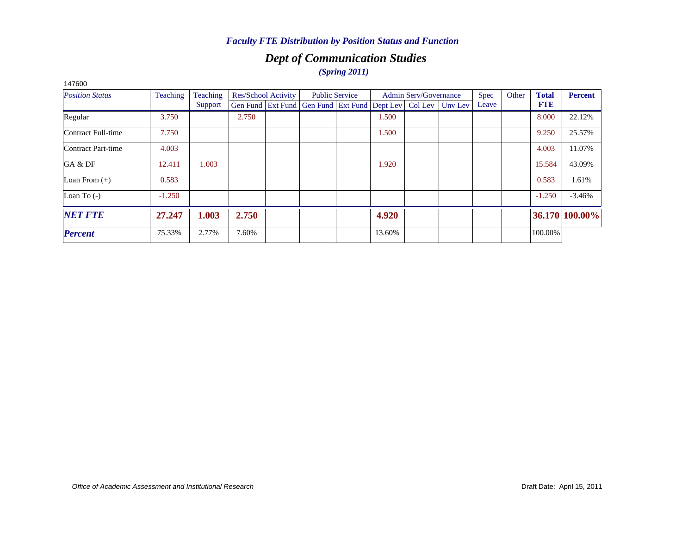# *Dept of Communication Studies (Spring 2011)*

| 141000                 |          |          |       |                     |                                                                  |                       |        |                              |             |       |              |                |
|------------------------|----------|----------|-------|---------------------|------------------------------------------------------------------|-----------------------|--------|------------------------------|-------------|-------|--------------|----------------|
| <b>Position Status</b> | Teaching | Teaching |       | Res/School Activity |                                                                  | <b>Public Service</b> |        | <b>Admin Serv/Governance</b> | <b>Spec</b> | Other | <b>Total</b> | <b>Percent</b> |
|                        |          | Support  |       |                     | Gen Fund Ext Fund Gen Fund Ext Fund Dept Lev   Col Lev   Unv Lev |                       |        |                              | Leave       |       | <b>FTE</b>   |                |
| Regular                | 3.750    |          | 2.750 |                     |                                                                  |                       | 1.500  |                              |             |       | 8.000        | 22.12%         |
| Contract Full-time     | 7.750    |          |       |                     |                                                                  |                       | 1.500  |                              |             |       | 9.250        | 25.57%         |
| Contract Part-time     | 4.003    |          |       |                     |                                                                  |                       |        |                              |             |       | 4.003        | 11.07%         |
| GA & DF                | 12.411   | 1.003    |       |                     |                                                                  |                       | 1.920  |                              |             |       | 15.584       | 43.09%         |
| Loan From $(+)$        | 0.583    |          |       |                     |                                                                  |                       |        |                              |             |       | 0.583        | 1.61%          |
| Loan To $(-)$          | $-1.250$ |          |       |                     |                                                                  |                       |        |                              |             |       | $-1.250$     | $-3.46%$       |
| <b>NET FTE</b>         | 27.247   | 1.003    | 2.750 |                     |                                                                  |                       | 4.920  |                              |             |       |              | 36.170 100.00% |
| <b>Percent</b>         | 75.33%   | 2.77%    | 7.60% |                     |                                                                  |                       | 13.60% |                              |             |       | 100.00%      |                |
|                        |          |          |       |                     |                                                                  |                       |        |                              |             |       |              |                |

147600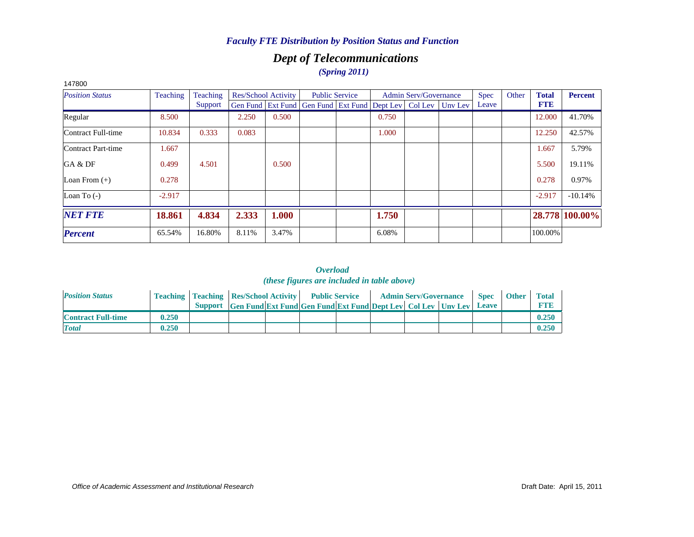# *Dept of Telecommunications*

*(Spring 2011)*

| 147800                 |          |          |       |                     |                                                      |       |                              |         |             |       |              |                |
|------------------------|----------|----------|-------|---------------------|------------------------------------------------------|-------|------------------------------|---------|-------------|-------|--------------|----------------|
| <b>Position Status</b> | Teaching | Teaching |       | Res/School Activity | <b>Public Service</b>                                |       | <b>Admin Serv/Governance</b> |         | <b>Spec</b> | Other | <b>Total</b> | <b>Percent</b> |
|                        |          | Support  |       |                     | Gen Fund Ext Fund Gen Fund Ext Fund Dept Lev Col Lev |       |                              | Unv Lev | Leave       |       | <b>FTE</b>   |                |
| Regular                | 8.500    |          | 2.250 | 0.500               |                                                      | 0.750 |                              |         |             |       | 12.000       | 41.70%         |
| Contract Full-time     | 10.834   | 0.333    | 0.083 |                     |                                                      | 1.000 |                              |         |             |       | 12.250       | 42.57%         |
| Contract Part-time     | 1.667    |          |       |                     |                                                      |       |                              |         |             |       | 1.667        | 5.79%          |
| GA & DF                | 0.499    | 4.501    |       | 0.500               |                                                      |       |                              |         |             |       | 5.500        | 19.11%         |
| Loan From $(+)$        | 0.278    |          |       |                     |                                                      |       |                              |         |             |       | 0.278        | 0.97%          |
| Loan To $(-)$          | $-2.917$ |          |       |                     |                                                      |       |                              |         |             |       | $-2.917$     | $-10.14%$      |
| <b>NET FTE</b>         | 18.861   | 4.834    | 2.333 | 1.000               |                                                      | 1.750 |                              |         |             |       |              | 28.778 100.00% |
| <b>Percent</b>         | 65.54%   | 16.80%   | 8.11% | 3.47%               |                                                      | 6.08% |                              |         |             |       | 100.00%      |                |

| <b>Position Status</b>    |       | <b>Teaching   Teaching   Res/School Activity</b> |                                                                      | <b>Public Service</b> |  | <b>Admin Serv/Governance</b> | <b>Spec</b> | <b>Other</b> | <b>Total</b> |
|---------------------------|-------|--------------------------------------------------|----------------------------------------------------------------------|-----------------------|--|------------------------------|-------------|--------------|--------------|
|                           |       |                                                  | Support Gen Fund Ext Fund Gen Fund Ext Fund Dept Lev Col Lev Unv Lev |                       |  |                              | Leave       |              | <b>FTE</b>   |
| <b>Contract Full-time</b> | 0.250 |                                                  |                                                                      |                       |  |                              |             |              | 0.250        |
| <b>Total</b>              | 0.250 |                                                  |                                                                      |                       |  |                              |             |              | 0.250        |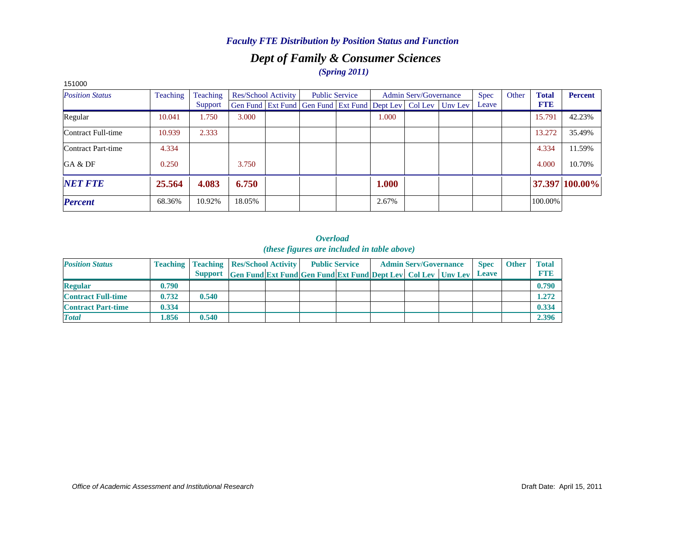# *Dept of Family & Consumer Sciences (Spring 2011)*

| 151000                 |                 |          |        |                            |                                                                |       |                              |         |             |       |              |                |
|------------------------|-----------------|----------|--------|----------------------------|----------------------------------------------------------------|-------|------------------------------|---------|-------------|-------|--------------|----------------|
| <b>Position Status</b> | <b>Teaching</b> | Teaching |        | <b>Res/School Activity</b> | <b>Public Service</b>                                          |       | <b>Admin Serv/Governance</b> |         | <b>Spec</b> | Other | <b>Total</b> | <b>Percent</b> |
|                        |                 | Support  |        |                            | Gen Fund   Ext Fund   Gen Fund   Ext Fund   Dept Lev   Col Lev |       |                              | Unv Lev | Leave       |       | <b>FTE</b>   |                |
| Regular                | 10.041          | 1.750    | 3.000  |                            |                                                                | 1.000 |                              |         |             |       | 15.791       | 42.23%         |
| Contract Full-time     | 10.939          | 2.333    |        |                            |                                                                |       |                              |         |             |       | 13.272       | 35.49%         |
| Contract Part-time     | 4.334           |          |        |                            |                                                                |       |                              |         |             |       | 4.334        | 11.59%         |
| GA & DF                | 0.250           |          | 3.750  |                            |                                                                |       |                              |         |             |       | 4.000        | 10.70%         |
| <b>NET FTE</b>         | 25.564          | 4.083    | 6.750  |                            |                                                                | 1.000 |                              |         |             |       |              | 37.397 100.00% |
| <b>Percent</b>         | 68.36%          | 10.92%   | 18.05% |                            |                                                                | 2.67% |                              |         |             |       | 100.00%      |                |

| <b>Position Status</b>    |       | <b>Teaching   Teaching   Res/School Activity  </b> |                                                                  | <b>Public Service</b> |  | <b>Admin Serv/Governance</b> | <b>Spec</b> | <b>Other</b> | <b>Total</b> |
|---------------------------|-------|----------------------------------------------------|------------------------------------------------------------------|-----------------------|--|------------------------------|-------------|--------------|--------------|
|                           |       | <b>Support</b>                                     | Gen Fund Ext Fund Gen Fund Ext Fund Dept Lev   Col Lev   Unv Lev |                       |  |                              | Leave       |              | <b>FTR</b>   |
| <b>Regular</b>            | 0.790 |                                                    |                                                                  |                       |  |                              |             |              | 0.790        |
| <b>Contract Full-time</b> | 0.732 | 0.540                                              |                                                                  |                       |  |                              |             |              | 1.272        |
| <b>Contract Part-time</b> | 0.334 |                                                    |                                                                  |                       |  |                              |             |              | 0.334        |
| <b>Total</b>              | l.856 | 0.540                                              |                                                                  |                       |  |                              |             |              | 2.396        |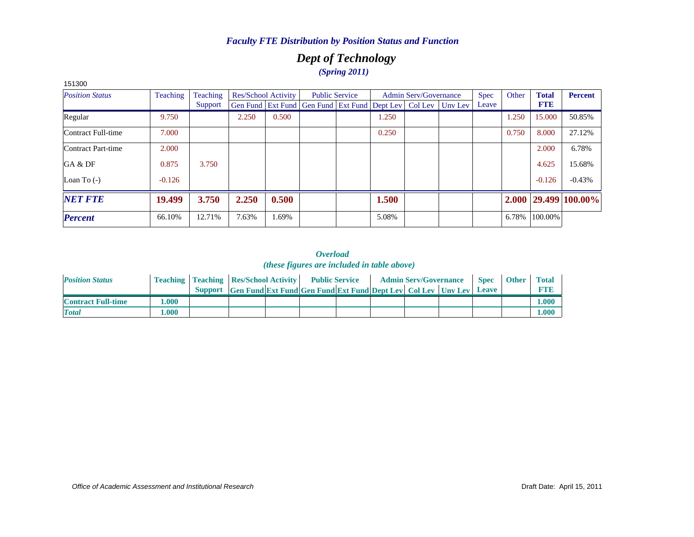# *Dept of Technology (Spring 2011)*

| 151300                 |          |          |       |                            |                                                      |       |                              |         |             |       |              |                            |
|------------------------|----------|----------|-------|----------------------------|------------------------------------------------------|-------|------------------------------|---------|-------------|-------|--------------|----------------------------|
| <b>Position Status</b> | Teaching | Teaching |       | <b>Res/School Activity</b> | <b>Public Service</b>                                |       | <b>Admin Serv/Governance</b> |         | <b>Spec</b> | Other | <b>Total</b> | <b>Percent</b>             |
|                        |          | Support  |       |                            | Gen Fund Ext Fund Gen Fund Ext Fund Dept Lev Col Lev |       |                              | Unv Lev | Leave       |       | <b>FTE</b>   |                            |
| Regular                | 9.750    |          | 2.250 | 0.500                      |                                                      | 1.250 |                              |         |             | 1.250 | 15.000       | 50.85%                     |
| Contract Full-time     | 7.000    |          |       |                            |                                                      | 0.250 |                              |         |             | 0.750 | 8.000        | 27.12%                     |
| Contract Part-time     | 2.000    |          |       |                            |                                                      |       |                              |         |             |       | 2.000        | 6.78%                      |
| GA & DF                | 0.875    | 3.750    |       |                            |                                                      |       |                              |         |             |       | 4.625        | 15.68%                     |
| Loan To $(-)$          | $-0.126$ |          |       |                            |                                                      |       |                              |         |             |       | $-0.126$     | $-0.43%$                   |
| <b>NET FTE</b>         | 19.499   | 3.750    | 2.250 | 0.500                      |                                                      | 1.500 |                              |         |             |       |              | $2.000$   29.499   100.00% |
| <b>Percent</b>         | 66.10%   | 12.71%   | 7.63% | .69%                       |                                                      | 5.08% |                              |         |             | 6.78% | 100.00%      |                            |

| <b>Position Status</b>    |       | <b>Teaching   Teaching   Res/School Activity   Public Service</b> |                                                                            |  | <b>Admin Serv/Governance</b> |  | <b>Spec</b> | <b>Other</b> | <b>Total</b> |
|---------------------------|-------|-------------------------------------------------------------------|----------------------------------------------------------------------------|--|------------------------------|--|-------------|--------------|--------------|
|                           |       |                                                                   | Support Gen Fund Ext Fund Gen Fund Ext Fund Dept Lev Col Lev Uny Lev Leave |  |                              |  |             |              | <b>RTIB</b>  |
| <b>Contract Full-time</b> | .000. |                                                                   |                                                                            |  |                              |  |             |              | 1.000        |
| <b>Total</b>              | .000  |                                                                   |                                                                            |  |                              |  |             |              | $1.000\,$    |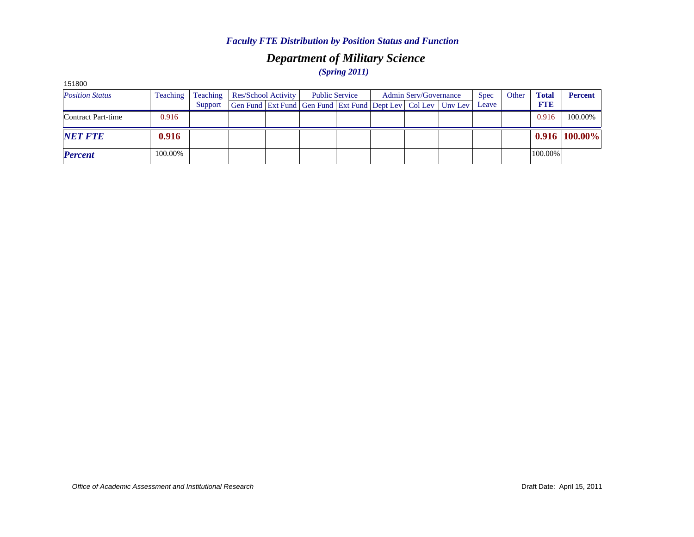## *Department of Military Science (Spring 2011)*

| 151000                 |          |          |                                                                          |  |                       |                       |             |       |              |                 |
|------------------------|----------|----------|--------------------------------------------------------------------------|--|-----------------------|-----------------------|-------------|-------|--------------|-----------------|
| <b>Position Status</b> | Teaching | Teaching | <b>Res/School Activity</b>                                               |  | <b>Public Service</b> | Admin Serv/Governance | <b>Spec</b> | Other | <b>Total</b> | <b>Percent</b>  |
|                        |          | Support  | Gen Fund   Ext Fund   Gen Fund   Ext Fund   Dept Lev   Col Lev   Unv Lev |  |                       |                       | Leave       |       | <b>FTE</b>   |                 |
| Contract Part-time     | 0.916    |          |                                                                          |  |                       |                       |             |       | 0.916        | 100.00%         |
| <b>NET FTE</b>         | 0.916    |          |                                                                          |  |                       |                       |             |       |              | $0.916$ 100.00% |
| <b>Percent</b>         | 100.00%  |          |                                                                          |  |                       |                       |             |       | 100.00%      |                 |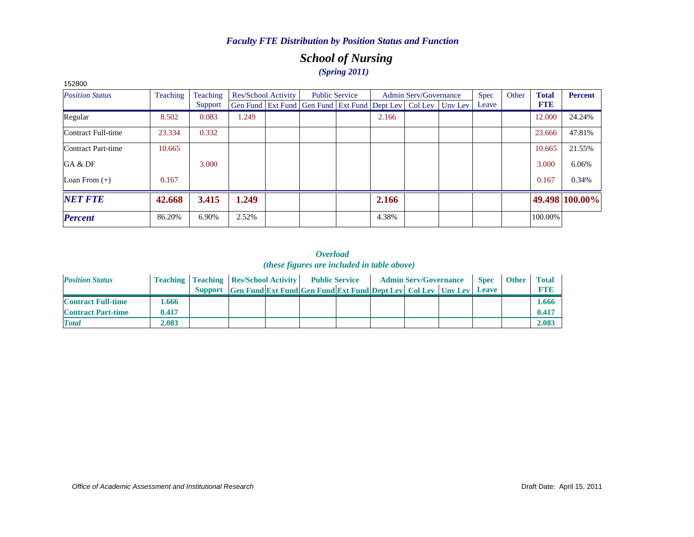# *School of Nursing (Spring 2011)*

| 152800                 |          |          |                            |                                                                          |                       |       |                              |             |       |              |                |
|------------------------|----------|----------|----------------------------|--------------------------------------------------------------------------|-----------------------|-------|------------------------------|-------------|-------|--------------|----------------|
| <b>Position Status</b> | Teaching | Teaching | <b>Res/School Activity</b> |                                                                          | <b>Public Service</b> |       | <b>Admin Serv/Governance</b> | <b>Spec</b> | Other | <b>Total</b> | <b>Percent</b> |
|                        |          | Support  |                            | Gen Fund   Ext Fund   Gen Fund   Ext Fund   Dept Lev   Col Lev   Unv Lev |                       |       |                              | Leave       |       | <b>FTE</b>   |                |
| Regular                | 8.502    | 0.083    | 1.249                      |                                                                          |                       | 2.166 |                              |             |       | 12.000       | 24.24%         |
| Contract Full-time     | 23.334   | 0.332    |                            |                                                                          |                       |       |                              |             |       | 23.666       | 47.81%         |
| Contract Part-time     | 10.665   |          |                            |                                                                          |                       |       |                              |             |       | 10.665       | 21.55%         |
| GA & DF                |          | 3.000    |                            |                                                                          |                       |       |                              |             |       | 3.000        | 6.06%          |
| Loan From $(+)$        | 0.167    |          |                            |                                                                          |                       |       |                              |             |       | 0.167        | 0.34%          |
| <b>NET FTE</b>         | 42.668   | 3.415    | 1.249                      |                                                                          |                       | 2.166 |                              |             |       |              | 49.498 100.00% |
| <b>Percent</b>         | 86.20%   | 6.90%    | 2.52%                      |                                                                          |                       | 4.38% |                              |             |       | 100.00%      |                |

| <b>Position Status</b>    |       | <b>Teaching   Teaching   Res/School Activity  </b> |                                                                     | <b>Public Service</b> |  | <b>Admin Serv/Governance</b> | <b>Spec</b>  | <b>Other</b> | <b>Total</b> |
|---------------------------|-------|----------------------------------------------------|---------------------------------------------------------------------|-----------------------|--|------------------------------|--------------|--------------|--------------|
|                           |       | <b>Support</b>                                     | <b>Gen Fund Ext Fund Gen Fund Ext Fund Dept Lev Col Lev Unv Lev</b> |                       |  |                              | <b>Leave</b> |              | <b>FTE</b>   |
| <b>Contract Full-time</b> | .666  |                                                    |                                                                     |                       |  |                              |              |              | 1.666        |
| <b>Contract Part-time</b> | 0.417 |                                                    |                                                                     |                       |  |                              |              |              | $0.41^{-}$   |
| <b>Total</b>              | 2.083 |                                                    |                                                                     |                       |  |                              |              |              | 2.083        |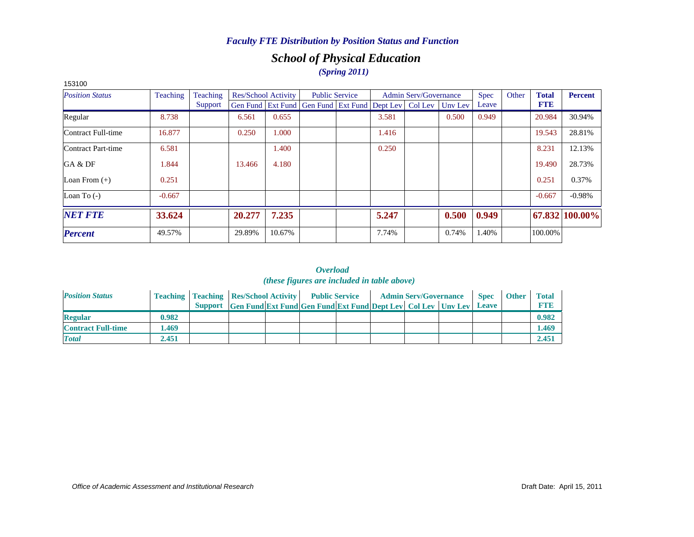# *School of Physical Education (Spring 2011)*

| 153100                 |          |          |        |                            |                                                                |       |                              |         |             |       |              |                |
|------------------------|----------|----------|--------|----------------------------|----------------------------------------------------------------|-------|------------------------------|---------|-------------|-------|--------------|----------------|
| <b>Position Status</b> | Teaching | Teaching |        | <b>Res/School Activity</b> | <b>Public Service</b>                                          |       | <b>Admin Serv/Governance</b> |         | <b>Spec</b> | Other | <b>Total</b> | <b>Percent</b> |
|                        |          | Support  |        |                            | Gen Fund   Ext Fund   Gen Fund   Ext Fund   Dept Lev   Col Lev |       |                              | Unv Lev | Leave       |       | <b>FTE</b>   |                |
| Regular                | 8.738    |          | 6.561  | 0.655                      |                                                                | 3.581 |                              | 0.500   | 0.949       |       | 20.984       | 30.94%         |
| Contract Full-time     | 16.877   |          | 0.250  | 1.000                      |                                                                | 1.416 |                              |         |             |       | 19.543       | 28.81%         |
| Contract Part-time     | 6.581    |          |        | 1.400                      |                                                                | 0.250 |                              |         |             |       | 8.231        | 12.13%         |
| GA & DF                | 1.844    |          | 13.466 | 4.180                      |                                                                |       |                              |         |             |       | 19.490       | 28.73%         |
| Loan From $(+)$        | 0.251    |          |        |                            |                                                                |       |                              |         |             |       | 0.251        | 0.37%          |
| Loan To $(-)$          | $-0.667$ |          |        |                            |                                                                |       |                              |         |             |       | $-0.667$     | $-0.98%$       |
| <b>NET FTE</b>         | 33.624   |          | 20.277 | 7.235                      |                                                                | 5.247 |                              | 0.500   | 0.949       |       |              | 67.832 100.00% |
| <b>Percent</b>         | 49.57%   |          | 29.89% | 10.67%                     |                                                                | 7.74% |                              | 0.74%   | 1.40%       |       | 100.00%      |                |

| <b>Position Status</b>    |       | <b>Teaching   Teaching   Res/School Activity   Public Service</b> |                                                                      |  |  | <b>Admin Serv/Governance</b> | <b>Spec</b> | <b>Other</b> | <b>Total</b> |
|---------------------------|-------|-------------------------------------------------------------------|----------------------------------------------------------------------|--|--|------------------------------|-------------|--------------|--------------|
|                           |       |                                                                   | Support Gen Fund Ext Fund Gen Fund Ext Fund Dept Lev Col Lev Unv Lev |  |  |                              | Leave       |              | <b>FTF</b>   |
| <b>Regular</b>            | 0.982 |                                                                   |                                                                      |  |  |                              |             |              | 0.982        |
| <b>Contract Full-time</b> | .469  |                                                                   |                                                                      |  |  |                              |             |              | 1.469        |
| <b>Total</b>              | 2.451 |                                                                   |                                                                      |  |  |                              |             |              | 2.451        |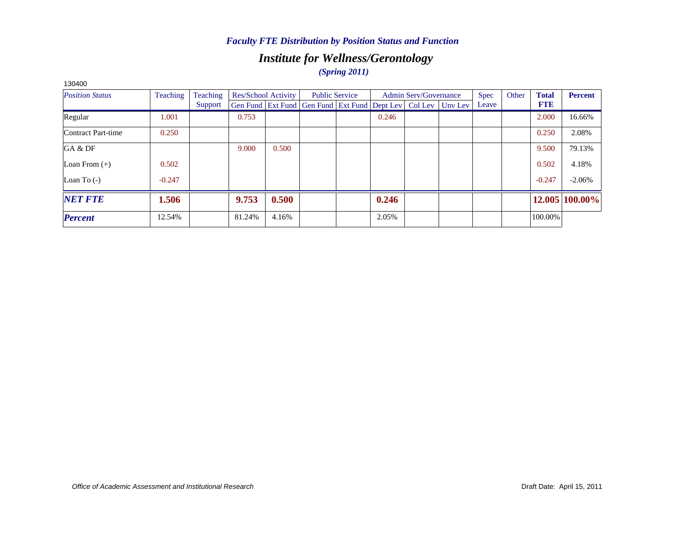# *Institute for Wellness/Gerontology*

## *(Spring 2011)*

| 130400                 |          |          |        |                            |                                                                |                       |       |                              |         |       |       |              |                |
|------------------------|----------|----------|--------|----------------------------|----------------------------------------------------------------|-----------------------|-------|------------------------------|---------|-------|-------|--------------|----------------|
| <b>Position Status</b> | Teaching | Teaching |        | <b>Res/School Activity</b> |                                                                | <b>Public Service</b> |       | <b>Admin Serv/Governance</b> |         | Spec  | Other | <b>Total</b> | <b>Percent</b> |
|                        |          | Support  |        |                            | Gen Fund   Ext Fund   Gen Fund   Ext Fund   Dept Lev   Col Lev |                       |       |                              | Unv Lev | Leave |       | <b>FTE</b>   |                |
| Regular                | 1.001    |          | 0.753  |                            |                                                                |                       | 0.246 |                              |         |       |       | 2.000        | 16.66%         |
| Contract Part-time     | 0.250    |          |        |                            |                                                                |                       |       |                              |         |       |       | 0.250        | 2.08%          |
| GA & DF                |          |          | 9.000  | 0.500                      |                                                                |                       |       |                              |         |       |       | 9.500        | 79.13%         |
| Loan From $(+)$        | 0.502    |          |        |                            |                                                                |                       |       |                              |         |       |       | 0.502        | 4.18%          |
| Loan To $(-)$          | $-0.247$ |          |        |                            |                                                                |                       |       |                              |         |       |       | $-0.247$     | $-2.06%$       |
| <b>NET FTE</b>         | 1.506    |          | 9.753  | 0.500                      |                                                                |                       | 0.246 |                              |         |       |       |              | 12.005 100.00% |
| <b>Percent</b>         | 12.54%   |          | 81.24% | 4.16%                      |                                                                |                       | 2.05% |                              |         |       |       | 100.00%      |                |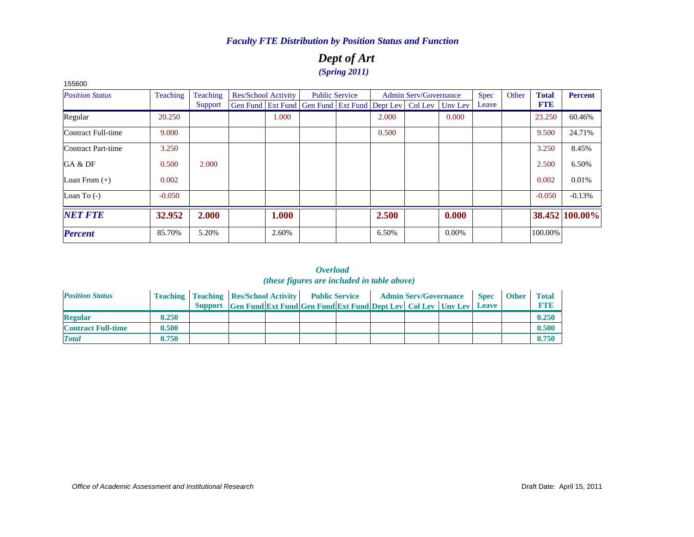## *Dept of Art (Spring 2011)*

| 155600                 |          |                 |                     |                                                                |                       |       |                              |          |             |       |              |                |
|------------------------|----------|-----------------|---------------------|----------------------------------------------------------------|-----------------------|-------|------------------------------|----------|-------------|-------|--------------|----------------|
| <b>Position Status</b> | Teaching | <b>Teaching</b> | Res/School Activity |                                                                | <b>Public Service</b> |       | <b>Admin Serv/Governance</b> |          | <b>Spec</b> | Other | <b>Total</b> | <b>Percent</b> |
|                        |          | Support         |                     | Gen Fund   Ext Fund   Gen Fund   Ext Fund   Dept Lev   Col Lev |                       |       |                              | Unv Lev  | Leave       |       | <b>FTE</b>   |                |
| Regular                | 20.250   |                 | 1.000               |                                                                |                       | 2.000 |                              | 0.000    |             |       | 23.250       | 60.46%         |
| Contract Full-time     | 9.000    |                 |                     |                                                                |                       | 0.500 |                              |          |             |       | 9.500        | 24.71%         |
| Contract Part-time     | 3.250    |                 |                     |                                                                |                       |       |                              |          |             |       | 3.250        | 8.45%          |
| GA & DF                | 0.500    | 2.000           |                     |                                                                |                       |       |                              |          |             |       | 2.500        | 6.50%          |
| Loan From $(+)$        | 0.002    |                 |                     |                                                                |                       |       |                              |          |             |       | 0.002        | 0.01%          |
| Loan To $(-)$          | $-0.050$ |                 |                     |                                                                |                       |       |                              |          |             |       | $-0.050$     | $-0.13%$       |
| <b>NET FTE</b>         | 32.952   | 2.000           | 1.000               |                                                                |                       | 2.500 |                              | 0.000    |             |       |              | 38.452 100.00% |
| <b>Percent</b>         | 85.70%   | 5.20%           | 2.60%               |                                                                |                       | 6.50% |                              | $0.00\%$ |             |       | 100.00%      |                |

| <b>Position Status</b>    |       | <b>Teaching   Teaching   Res/School Activity   Public Service</b> |                                                                      |  |  | <b>Admin Serv/Governance</b> | <b>Spec</b>  | <b>Other</b> | Total       |
|---------------------------|-------|-------------------------------------------------------------------|----------------------------------------------------------------------|--|--|------------------------------|--------------|--------------|-------------|
|                           |       |                                                                   | Support Gen Fund Ext Fund Gen Fund Ext Fund Dept Lev Col Lev Unv Lev |  |  |                              | <b>Leave</b> |              | <b>FTI3</b> |
| <b>Regular</b>            | 0.250 |                                                                   |                                                                      |  |  |                              |              |              | 0.250       |
| <b>Contract Full-time</b> | 0.500 |                                                                   |                                                                      |  |  |                              |              |              | 0.500       |
| <b>Total</b>              | 0.750 |                                                                   |                                                                      |  |  |                              |              |              | 0.750       |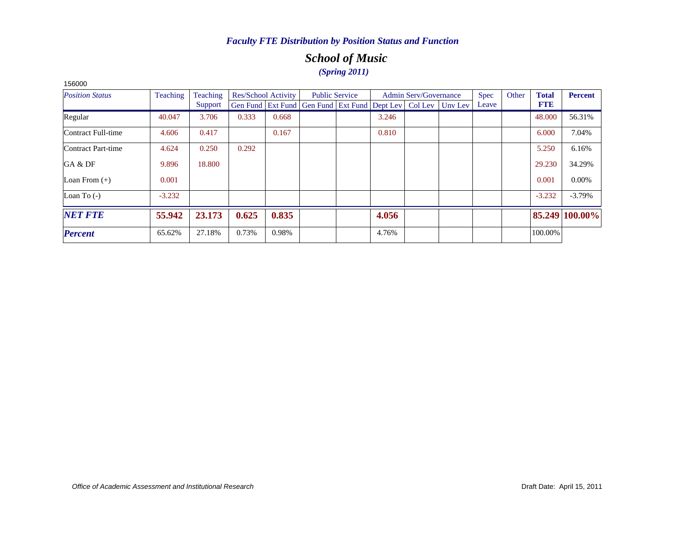# *School of Music (Spring 2011)*

| <b>Position Status</b> | Teaching | <b>Teaching</b> |       | Res/School Activity |                                                                  | <b>Public Service</b> |       | <b>Admin Serv/Governance</b> | <b>Spec</b> | Other | <b>Total</b> | <b>Percent</b> |
|------------------------|----------|-----------------|-------|---------------------|------------------------------------------------------------------|-----------------------|-------|------------------------------|-------------|-------|--------------|----------------|
|                        |          | Support         |       |                     | Gen Fund Ext Fund Gen Fund Ext Fund Dept Lev   Col Lev   Unv Lev |                       |       |                              | Leave       |       | <b>FTE</b>   |                |
| Regular                | 40.047   | 3.706           | 0.333 | 0.668               |                                                                  |                       | 3.246 |                              |             |       | 48.000       | 56.31%         |
| Contract Full-time     | 4.606    | 0.417           |       | 0.167               |                                                                  |                       | 0.810 |                              |             |       | 6.000        | 7.04%          |
| Contract Part-time     | 4.624    | 0.250           | 0.292 |                     |                                                                  |                       |       |                              |             |       | 5.250        | 6.16%          |
| GA & DF                | 9.896    | 18.800          |       |                     |                                                                  |                       |       |                              |             |       | 29.230       | 34.29%         |
| Loan From $(+)$        | 0.001    |                 |       |                     |                                                                  |                       |       |                              |             |       | 0.001        | $0.00\%$       |
| Loan To $(-)$          | $-3.232$ |                 |       |                     |                                                                  |                       |       |                              |             |       | $-3.232$     | $-3.79%$       |
| <b>NET FTE</b>         | 55.942   | 23.173          | 0.625 | 0.835               |                                                                  |                       | 4.056 |                              |             |       |              | 85.249 100.00% |
| <b>Percent</b>         | 65.62%   | 27.18%          | 0.73% | 0.98%               |                                                                  |                       | 4.76% |                              |             |       | 100.00%      |                |

156000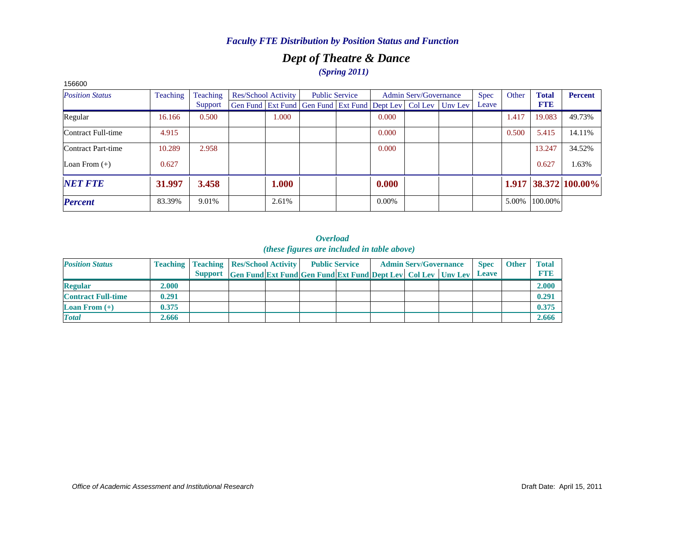# *Dept of Theatre & Dance (Spring 2011)*

| 156600                 |                 |          |                                                                |                       |          |                       |         |             |       |              |                      |
|------------------------|-----------------|----------|----------------------------------------------------------------|-----------------------|----------|-----------------------|---------|-------------|-------|--------------|----------------------|
| <b>Position Status</b> | <b>Teaching</b> | Teaching | Res/School Activity                                            | <b>Public Service</b> |          | Admin Serv/Governance |         | <b>Spec</b> | Other | <b>Total</b> | <b>Percent</b>       |
|                        |                 | Support  | Gen Fund   Ext Fund   Gen Fund   Ext Fund   Dept Lev   Col Lev |                       |          |                       | Unv Lev | Leave       |       | <b>FTE</b>   |                      |
| Regular                | 16.166          | 0.500    | 1.000                                                          |                       | 0.000    |                       |         |             | 1.417 | 19.083       | 49.73%               |
| Contract Full-time     | 4.915           |          |                                                                |                       | 0.000    |                       |         |             | 0.500 | 5.415        | 14.11%               |
| Contract Part-time     | 10.289          | 2.958    |                                                                |                       | 0.000    |                       |         |             |       | 13.247       | 34.52%               |
| Loan From $(+)$        | 0.627           |          |                                                                |                       |          |                       |         |             |       | 0.627        | 1.63%                |
| <b>NET FTE</b>         | 31.997          | 3.458    | 1.000                                                          |                       | 0.000    |                       |         |             |       |              | 1.917 38.372 100.00% |
| <b>Percent</b>         | 83.39%          | 9.01%    | 2.61%                                                          |                       | $0.00\%$ |                       |         |             | 5.00% | 100.00%      |                      |

| <b>Position Status</b>            |       | <b>Teaching   Teaching   Res/School Activity  </b> |                                                                      | <b>Public Service</b> |  | <b>Admin Serv/Governance</b> | <b>Spec</b>  | <b>Other</b> | <b>Total</b> |
|-----------------------------------|-------|----------------------------------------------------|----------------------------------------------------------------------|-----------------------|--|------------------------------|--------------|--------------|--------------|
|                                   |       |                                                    | Support Gen Fund Ext Fund Gen Fund Ext Fund Dept Lev Col Lev Unv Lev |                       |  |                              | <b>Leave</b> |              | <b>FTI3</b>  |
| <b>Regular</b>                    | 2.000 |                                                    |                                                                      |                       |  |                              |              |              | 2.000        |
| <b>Contract Full-time</b>         | 0.291 |                                                    |                                                                      |                       |  |                              |              |              | 0.291        |
| <b>Loan From <math>(+)</math></b> | 0.375 |                                                    |                                                                      |                       |  |                              |              |              | 0.375        |
| <b>Total</b>                      | 2.666 |                                                    |                                                                      |                       |  |                              |              |              | 2.666        |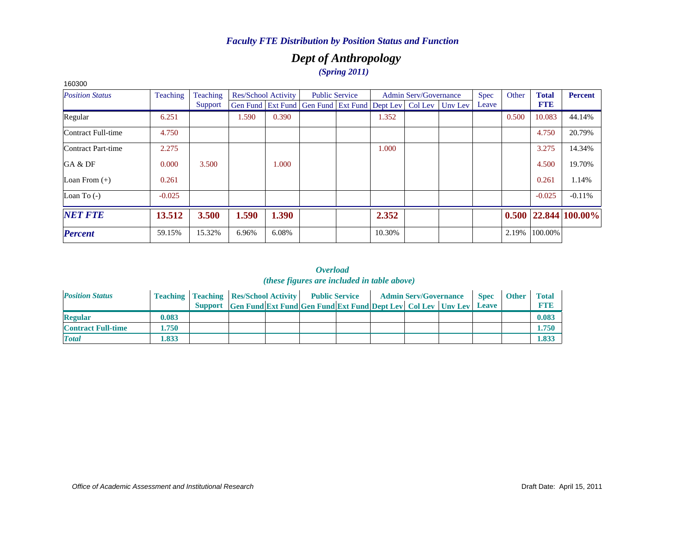# *Dept of Anthropology (Spring 2011)*

| 160300                 |          |          |       |                            |                                                                          |        |                              |       |       |              |                            |
|------------------------|----------|----------|-------|----------------------------|--------------------------------------------------------------------------|--------|------------------------------|-------|-------|--------------|----------------------------|
| <b>Position Status</b> | Teaching | Teaching |       | <b>Res/School Activity</b> | <b>Public Service</b>                                                    |        | <b>Admin Serv/Governance</b> | Spec  | Other | <b>Total</b> | <b>Percent</b>             |
|                        |          | Support  |       |                            | Gen Fund   Ext Fund   Gen Fund   Ext Fund   Dept Lev   Col Lev   Unv Lev |        |                              | Leave |       | <b>FTE</b>   |                            |
| Regular                | 6.251    |          | 1.590 | 0.390                      |                                                                          | 1.352  |                              |       | 0.500 | 10.083       | 44.14%                     |
| Contract Full-time     | 4.750    |          |       |                            |                                                                          |        |                              |       |       | 4.750        | 20.79%                     |
| Contract Part-time     | 2.275    |          |       |                            |                                                                          | 1.000  |                              |       |       | 3.275        | 14.34%                     |
| GA & DF                | 0.000    | 3.500    |       | 1.000                      |                                                                          |        |                              |       |       | 4.500        | 19.70%                     |
| Loan From $(+)$        | 0.261    |          |       |                            |                                                                          |        |                              |       |       | 0.261        | 1.14%                      |
| Loan To $(-)$          | $-0.025$ |          |       |                            |                                                                          |        |                              |       |       | $-0.025$     | $-0.11%$                   |
| <b>NET FTE</b>         | 13.512   | 3.500    | 1.590 | 1.390                      |                                                                          | 2.352  |                              |       |       |              | $0.500$   22.844   100.00% |
| <b>Percent</b>         | 59.15%   | 15.32%   | 6.96% | 6.08%                      |                                                                          | 10.30% |                              |       | 2.19% | 100.00%      |                            |

| <b>Position Status</b>    |       | <b>Teaching   Teaching   Res/School Activity   Public Service</b> |                                                                      |  |  | <b>Admin Serv/Governance</b> | <b>Spec</b> | <b>Other</b> | <b>Total</b> |
|---------------------------|-------|-------------------------------------------------------------------|----------------------------------------------------------------------|--|--|------------------------------|-------------|--------------|--------------|
|                           |       |                                                                   | Support Gen Fund Ext Fund Gen Fund Ext Fund Dept Lev Col Lev Unv Lev |  |  |                              | Leave       |              | <b>FTF</b>   |
| <b>Regular</b>            | 0.083 |                                                                   |                                                                      |  |  |                              |             |              | 0.083        |
| <b>Contract Full-time</b> | l.750 |                                                                   |                                                                      |  |  |                              |             |              | 1.750        |
| <b>Total</b>              | .833  |                                                                   |                                                                      |  |  |                              |             |              | 1.833        |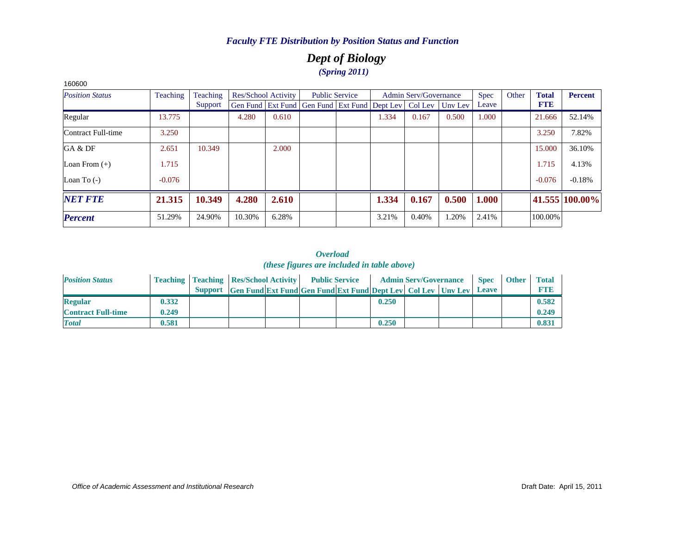# *Dept of Biology (Spring 2011)*

| <b>Position Status</b> | Teaching | Teaching |        | Res/School Activity |                                                                | <b>Public Service</b> |       | <b>Admin Serv/Governance</b> |         | <b>Spec</b> | Other | <b>Total</b> | <b>Percent</b> |
|------------------------|----------|----------|--------|---------------------|----------------------------------------------------------------|-----------------------|-------|------------------------------|---------|-------------|-------|--------------|----------------|
|                        |          | Support  |        |                     | Gen Fund   Ext Fund   Gen Fund   Ext Fund   Dept Lev   Col Lev |                       |       |                              | Uny Lev | Leave       |       | <b>FTE</b>   |                |
| Regular                | 13.775   |          | 4.280  | 0.610               |                                                                |                       | 1.334 | 0.167                        | 0.500   | 1.000       |       | 21.666       | 52.14%         |
| Contract Full-time     | 3.250    |          |        |                     |                                                                |                       |       |                              |         |             |       | 3.250        | 7.82%          |
| GA & DF                | 2.651    | 10.349   |        | 2.000               |                                                                |                       |       |                              |         |             |       | 15.000       | 36.10%         |
| Loan From $(+)$        | 1.715    |          |        |                     |                                                                |                       |       |                              |         |             |       | 1.715        | 4.13%          |
| Loan To $(-)$          | $-0.076$ |          |        |                     |                                                                |                       |       |                              |         |             |       | $-0.076$     | $-0.18%$       |
| <b>NET FTE</b>         | 21.315   | 10.349   | 4.280  | 2.610               |                                                                |                       | 1.334 | 0.167                        | 0.500   | 1.000       |       |              | 41.555 100.00% |
| <b>Percent</b>         | 51.29%   | 24.90%   | 10.30% | 6.28%               |                                                                |                       | 3.21% | 0.40%                        | 1.20%   | 2.41%       |       | 100.00%      |                |

#### *Overload (these figures are included in table above)*

| <b>Position Status</b>    |       | <b>Teaching   Teaching   Res/School Activity   Public Service</b>          |  |       | <b>Admin Serv/Governance</b> | <b>Spec</b> | <b>Other</b> | <b>Total</b> |
|---------------------------|-------|----------------------------------------------------------------------------|--|-------|------------------------------|-------------|--------------|--------------|
|                           |       | Support Gen Fund Ext Fund Gen Fund Ext Fund Dept Lev Col Lev Unv Lev Leave |  |       |                              |             |              | <b>FTB</b>   |
| <b>Regular</b>            | 0.332 |                                                                            |  | 0.250 |                              |             |              | 0.582        |
| <b>Contract Full-time</b> | 0.249 |                                                                            |  |       |                              |             |              | 0.249        |
| <b>Total</b>              | 0.581 |                                                                            |  | 0.250 |                              |             |              | 0.831        |

160600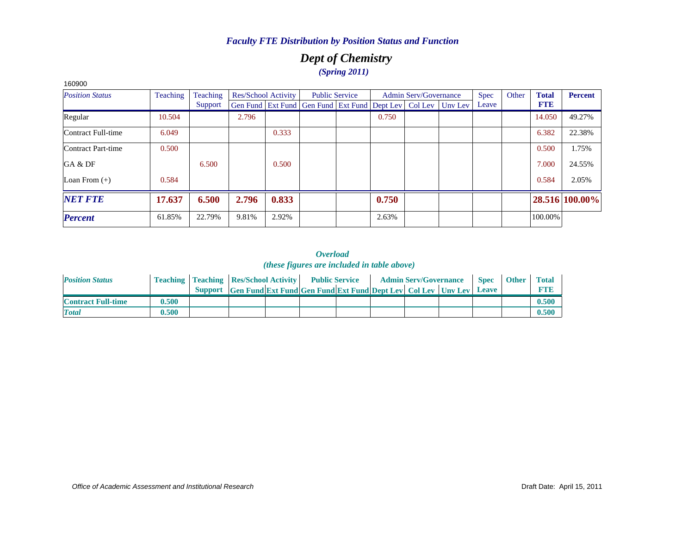# *Dept of Chemistry (Spring 2011)*

| ,,,,,,,                |          |          |       |                            |                                                                          |                       |       |                              |             |       |              |                |
|------------------------|----------|----------|-------|----------------------------|--------------------------------------------------------------------------|-----------------------|-------|------------------------------|-------------|-------|--------------|----------------|
| <b>Position Status</b> | Teaching | Teaching |       | <b>Res/School Activity</b> |                                                                          | <b>Public Service</b> |       | <b>Admin Serv/Governance</b> | <b>Spec</b> | Other | <b>Total</b> | <b>Percent</b> |
|                        |          | Support  |       |                            | Gen Fund   Ext Fund   Gen Fund   Ext Fund   Dept Lev   Col Lev   Unv Lev |                       |       |                              | Leave       |       | <b>FTE</b>   |                |
| Regular                | 10.504   |          | 2.796 |                            |                                                                          |                       | 0.750 |                              |             |       | 14.050       | 49.27%         |
| Contract Full-time     | 6.049    |          |       | 0.333                      |                                                                          |                       |       |                              |             |       | 6.382        | 22.38%         |
| Contract Part-time     | 0.500    |          |       |                            |                                                                          |                       |       |                              |             |       | 0.500        | 1.75%          |
| GA & DF                |          | 6.500    |       | 0.500                      |                                                                          |                       |       |                              |             |       | 7.000        | 24.55%         |
| Loan From $(+)$        | 0.584    |          |       |                            |                                                                          |                       |       |                              |             |       | 0.584        | 2.05%          |
| <b>NET FTE</b>         | 17.637   | 6.500    | 2.796 | 0.833                      |                                                                          |                       | 0.750 |                              |             |       |              | 28.516 100.00% |
| <b>Percent</b>         | 61.85%   | 22.79%   | 9.81% | 2.92%                      |                                                                          |                       | 2.63% |                              |             |       | 100.00%      |                |

#### *Overload (these figures are included in table above)*

| <b>Position Status</b>    |       | <b>Teaching   Teaching   Res/School Activity   Public Service</b> |                                                                            |  | <b>Admin Serv/Governance</b> |  | <b>Spec</b> | <b>Other</b> | <b>Total</b> |
|---------------------------|-------|-------------------------------------------------------------------|----------------------------------------------------------------------------|--|------------------------------|--|-------------|--------------|--------------|
|                           |       |                                                                   | Support Gen Fund Ext Fund Gen Fund Ext Fund Dept Lev Col Lev Unv Lev Leave |  |                              |  |             |              | <b>FTI3</b>  |
| <b>Contract Full-time</b> | 0.500 |                                                                   |                                                                            |  |                              |  |             |              | 0.500        |
| <b>Total</b>              | 0.500 |                                                                   |                                                                            |  |                              |  |             |              | 0.500        |

#### *Office of Academic Assessment and Institutional Research*

160900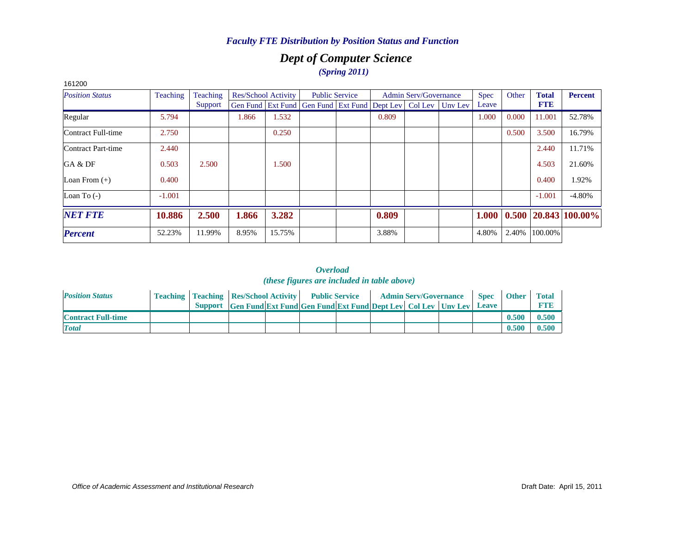# *Dept of Computer Science (Spring 2011)*

| 161200                 |                 |          |       |                     |                                                                  |                       |       |                              |             |       |              |                            |
|------------------------|-----------------|----------|-------|---------------------|------------------------------------------------------------------|-----------------------|-------|------------------------------|-------------|-------|--------------|----------------------------|
| <b>Position Status</b> | <b>Teaching</b> | Teaching |       | Res/School Activity |                                                                  | <b>Public Service</b> |       | <b>Admin Serv/Governance</b> | <b>Spec</b> | Other | <b>Total</b> | <b>Percent</b>             |
|                        |                 | Support  |       |                     | Gen Fund Ext Fund Gen Fund Ext Fund Dept Lev   Col Lev   Unv Lev |                       |       |                              | Leave       |       | <b>FTE</b>   |                            |
| Regular                | 5.794           |          | 1.866 | 1.532               |                                                                  |                       | 0.809 |                              | 1.000       | 0.000 | 11.001       | 52.78%                     |
| Contract Full-time     | 2.750           |          |       | 0.250               |                                                                  |                       |       |                              |             | 0.500 | 3.500        | 16.79%                     |
| Contract Part-time     | 2.440           |          |       |                     |                                                                  |                       |       |                              |             |       | 2.440        | 11.71%                     |
| GA & DF                | 0.503           | 2.500    |       | 1.500               |                                                                  |                       |       |                              |             |       | 4.503        | 21.60%                     |
| Loan From $(+)$        | 0.400           |          |       |                     |                                                                  |                       |       |                              |             |       | 0.400        | 1.92%                      |
| Loan To $(-)$          | $-1.001$        |          |       |                     |                                                                  |                       |       |                              |             |       | $-1.001$     | $-4.80%$                   |
| <b>NET FTE</b>         | 10.886          | 2.500    | 1.866 | 3.282               |                                                                  |                       | 0.809 |                              | 1.000       |       |              | $0.500$   20.843   100.00% |
| <b>Percent</b>         | 52.23%          | 11.99%   | 8.95% | 15.75%              |                                                                  |                       | 3.88% |                              | 4.80%       | 2.40% | 100.00%      |                            |

| <b>Position Status</b>    | <b>Teaching   Teaching   Res/School Activity   Public Service</b>    |  |  | <b>Admin Serv/Governance</b> | <b>Spec</b> | <b>Other</b> | <b>Total</b> |
|---------------------------|----------------------------------------------------------------------|--|--|------------------------------|-------------|--------------|--------------|
|                           | Support Gen Fund Ext Fund Gen Fund Ext Fund Dept Lev Col Lev Unv Lev |  |  |                              | Leave       |              | <b>RTIB</b>  |
| <b>Contract Full-time</b> |                                                                      |  |  |                              |             | 0.500        | 0.500        |
| <b>Total</b>              |                                                                      |  |  |                              |             | 0.500        | 0.500        |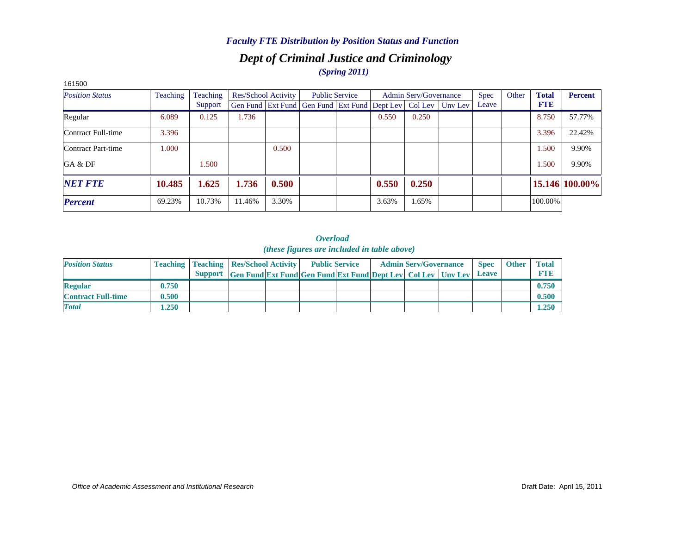## *Dept of Criminal Justice and Criminology (Spring 2011)*

| <b>UUCI 01</b>         |          |          |                     |       |                                                                          |                       |       |                              |             |       |              |                |
|------------------------|----------|----------|---------------------|-------|--------------------------------------------------------------------------|-----------------------|-------|------------------------------|-------------|-------|--------------|----------------|
| <b>Position Status</b> | Teaching | Teaching | Res/School Activity |       |                                                                          | <b>Public Service</b> |       | <b>Admin Serv/Governance</b> | <b>Spec</b> | Other | <b>Total</b> | <b>Percent</b> |
|                        |          | Support  |                     |       | Gen Fund   Ext Fund   Gen Fund   Ext Fund   Dept Lev   Col Lev   Unv Lev |                       |       |                              | Leave       |       | <b>FTE</b>   |                |
| Regular                | 6.089    | 0.125    | 1.736               |       |                                                                          |                       | 0.550 | 0.250                        |             |       | 8.750        | 57.77%         |
| Contract Full-time     | 3.396    |          |                     |       |                                                                          |                       |       |                              |             |       | 3.396        | 22.42%         |
| Contract Part-time     | 1.000    |          |                     | 0.500 |                                                                          |                       |       |                              |             |       | 1.500        | 9.90%          |
| GA & DF                |          | 1.500    |                     |       |                                                                          |                       |       |                              |             |       | 1.500        | 9.90%          |
| <b>NET FTE</b>         | 10.485   | 1.625    | 1.736               | 0.500 |                                                                          |                       | 0.550 | 0.250                        |             |       |              | 15.146 100.00% |
| <b>Percent</b>         | 69.23%   | 10.73%   | 11.46%              | 3.30% |                                                                          |                       | 3.63% | 1.65%                        |             |       | 100.00%      |                |

#### 161500

| <b>Position Status</b>    |       | <b>Teaching   Teaching   Res/School Activity  </b> |                                                                                   | <b>Public Service</b> |  | <b>Admin Serv/Governance</b> | <b>Spec</b>  | <b>Other</b> | <b>Total</b> |
|---------------------------|-------|----------------------------------------------------|-----------------------------------------------------------------------------------|-----------------------|--|------------------------------|--------------|--------------|--------------|
|                           |       |                                                    | <b>Support Gen Fund Ext Fund Gen Fund Ext Fund Dept Lev   Col Lev   Unv Lev  </b> |                       |  |                              | <b>Leave</b> |              | FTF          |
| <b>Regular</b>            | 0.750 |                                                    |                                                                                   |                       |  |                              |              |              | 0.750        |
| <b>Contract Full-time</b> | 0.500 |                                                    |                                                                                   |                       |  |                              |              |              | 0.500        |
| <b>Total</b>              | 1.250 |                                                    |                                                                                   |                       |  |                              |              |              | 1.250        |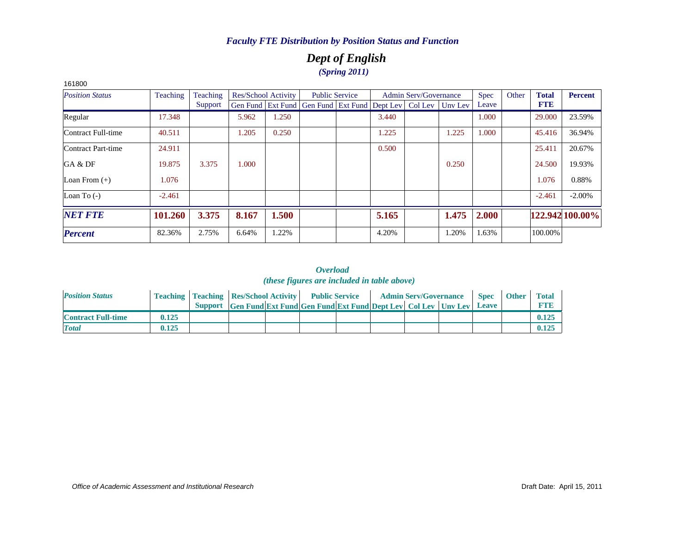# *Dept of English (Spring 2011)*

| 161800                 |                 |          |       |                     |                                                                |                       |       |                              |         |             |       |              |                 |
|------------------------|-----------------|----------|-------|---------------------|----------------------------------------------------------------|-----------------------|-------|------------------------------|---------|-------------|-------|--------------|-----------------|
| <b>Position Status</b> | <b>Teaching</b> | Teaching |       | Res/School Activity |                                                                | <b>Public Service</b> |       | <b>Admin Serv/Governance</b> |         | <b>Spec</b> | Other | <b>Total</b> | <b>Percent</b>  |
|                        |                 | Support  |       |                     | Gen Fund   Ext Fund   Gen Fund   Ext Fund   Dept Lev   Col Lev |                       |       |                              | Unv Lev | Leave       |       | <b>FTE</b>   |                 |
| Regular                | 17.348          |          | 5.962 | 1.250               |                                                                |                       | 3.440 |                              |         | 1.000       |       | 29,000       | 23.59%          |
| Contract Full-time     | 40.511          |          | 1.205 | 0.250               |                                                                |                       | 1.225 |                              | 1.225   | 1.000       |       | 45.416       | 36.94%          |
| Contract Part-time     | 24.911          |          |       |                     |                                                                |                       | 0.500 |                              |         |             |       | 25.411       | 20.67%          |
| GA & DF                | 19.875          | 3.375    | 1.000 |                     |                                                                |                       |       |                              | 0.250   |             |       | 24.500       | 19.93%          |
| Loan From $(+)$        | 1.076           |          |       |                     |                                                                |                       |       |                              |         |             |       | 1.076        | 0.88%           |
| Loan To $(-)$          | $-2.461$        |          |       |                     |                                                                |                       |       |                              |         |             |       | $-2.461$     | $-2.00\%$       |
| <b>NET FTE</b>         | 101.260         | 3.375    | 8.167 | 1.500               |                                                                |                       | 5.165 |                              | 1.475   | 2.000       |       |              | 122.942 100.00% |
| <b>Percent</b>         | 82.36%          | 2.75%    | 6.64% | .22%                |                                                                |                       | 4.20% |                              | 1.20%   | 1.63%       |       | 100.00%      |                 |

| <b>Position Status</b>    |       | <b>Teaching   Teaching   Res/School Activity   Public Service</b>    |  |  | <b>Admin Serv/Governance</b> | <b>Spec</b> | <b>Other</b> | <b>Total</b> |
|---------------------------|-------|----------------------------------------------------------------------|--|--|------------------------------|-------------|--------------|--------------|
|                           |       | Support Gen Fund Ext Fund Gen Fund Ext Fund Dept Lev Col Lev Unv Lev |  |  |                              | Leave       |              | <b>RTIB</b>  |
| <b>Contract Full-time</b> | 0.125 |                                                                      |  |  |                              |             |              | 0.125        |
| <b>Total</b>              | 0.125 |                                                                      |  |  |                              |             |              | 0.125        |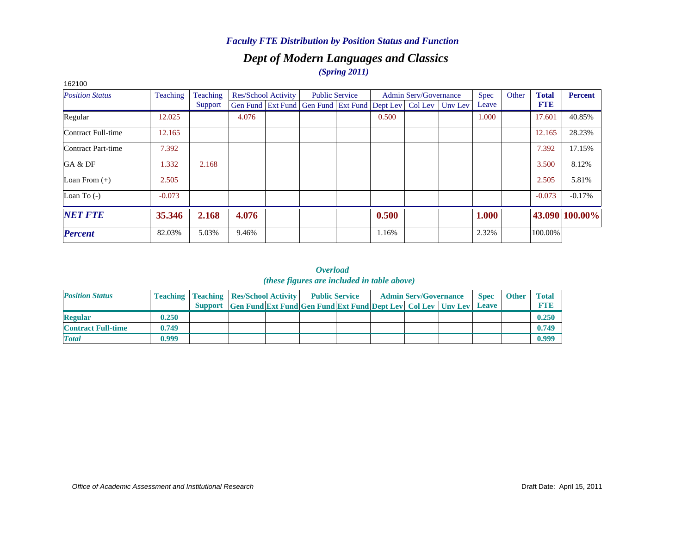## *Dept of Modern Languages and Classics (Spring 2011)*

| 162100                 |                 |                 |       |                     |                                                                |                       |       |                              |         |       |       |              |                |
|------------------------|-----------------|-----------------|-------|---------------------|----------------------------------------------------------------|-----------------------|-------|------------------------------|---------|-------|-------|--------------|----------------|
| <b>Position Status</b> | <b>Teaching</b> | <b>Teaching</b> |       | Res/School Activity |                                                                | <b>Public Service</b> |       | <b>Admin Serv/Governance</b> |         | Spec  | Other | <b>Total</b> | <b>Percent</b> |
|                        |                 | Support         |       |                     | Gen Fund   Ext Fund   Gen Fund   Ext Fund   Dept Lev   Col Lev |                       |       |                              | Unv Lev | Leave |       | <b>FTE</b>   |                |
| Regular                | 12.025          |                 | 4.076 |                     |                                                                |                       | 0.500 |                              |         | 1.000 |       | 17.601       | 40.85%         |
| Contract Full-time     | 12.165          |                 |       |                     |                                                                |                       |       |                              |         |       |       | 12.165       | 28.23%         |
| Contract Part-time     | 7.392           |                 |       |                     |                                                                |                       |       |                              |         |       |       | 7.392        | 17.15%         |
| GA & DF                | 1.332           | 2.168           |       |                     |                                                                |                       |       |                              |         |       |       | 3.500        | 8.12%          |
| Loan From $(+)$        | 2.505           |                 |       |                     |                                                                |                       |       |                              |         |       |       | 2.505        | 5.81%          |
| Loan To $(-)$          | $-0.073$        |                 |       |                     |                                                                |                       |       |                              |         |       |       | $-0.073$     | $-0.17%$       |
| <b>NET FTE</b>         | 35.346          | 2.168           | 4.076 |                     |                                                                |                       | 0.500 |                              |         | 1.000 |       |              | 43.090 100.00% |
| <b>Percent</b>         | 82.03%          | 5.03%           | 9.46% |                     |                                                                |                       | 1.16% |                              |         | 2.32% |       | 100.00%      |                |

| <b>Position Status</b>    |       | <b>Teaching   Teaching   Res/School Activity   Public Service</b> |                                                                      |  |  | <b>Admin Serv/Governance</b> | <b>Spec</b>  | <b>Other</b> | <b>Total</b> |
|---------------------------|-------|-------------------------------------------------------------------|----------------------------------------------------------------------|--|--|------------------------------|--------------|--------------|--------------|
|                           |       |                                                                   | Support Gen Fund Ext Fund Gen Fund Ext Fund Dept Lev Col Lev Unv Lev |  |  |                              | <b>Leave</b> |              | <b>FTP</b>   |
| <b>Regular</b>            | 0.250 |                                                                   |                                                                      |  |  |                              |              |              | 0.250        |
| <b>Contract Full-time</b> | 0.749 |                                                                   |                                                                      |  |  |                              |              |              | 0.749        |
| <b>Total</b>              | 0.999 |                                                                   |                                                                      |  |  |                              |              |              | 0.999        |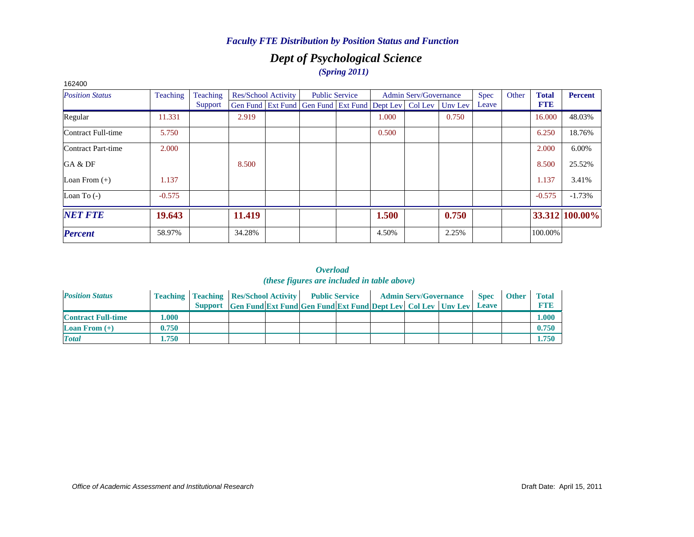# *Dept of Psychological Science (Spring 2011)*

| 162400                 |          |          |        |                     |                                                                |                       |       |                              |         |       |       |              |                |
|------------------------|----------|----------|--------|---------------------|----------------------------------------------------------------|-----------------------|-------|------------------------------|---------|-------|-------|--------------|----------------|
| <b>Position Status</b> | Teaching | Teaching |        | Res/School Activity |                                                                | <b>Public Service</b> |       | <b>Admin Serv/Governance</b> |         | Spec  | Other | <b>Total</b> | <b>Percent</b> |
|                        |          | Support  |        |                     | Gen Fund   Ext Fund   Gen Fund   Ext Fund   Dept Lev   Col Lev |                       |       |                              | Uny Lev | Leave |       | <b>FTE</b>   |                |
| Regular                | 11.331   |          | 2.919  |                     |                                                                |                       | 1.000 |                              | 0.750   |       |       | 16.000       | 48.03%         |
| Contract Full-time     | 5.750    |          |        |                     |                                                                |                       | 0.500 |                              |         |       |       | 6.250        | 18.76%         |
| Contract Part-time     | 2.000    |          |        |                     |                                                                |                       |       |                              |         |       |       | 2.000        | 6.00%          |
| GA & DF                |          |          | 8.500  |                     |                                                                |                       |       |                              |         |       |       | 8.500        | 25.52%         |
| Loan From $(+)$        | 1.137    |          |        |                     |                                                                |                       |       |                              |         |       |       | 1.137        | 3.41%          |
| Loan To $(-)$          | $-0.575$ |          |        |                     |                                                                |                       |       |                              |         |       |       | $-0.575$     | $-1.73%$       |
| <b>NET FTE</b>         | 19.643   |          | 11.419 |                     |                                                                |                       | 1.500 |                              | 0.750   |       |       |              | 33.312 100.00% |
| <b>Percent</b>         | 58.97%   |          | 34.28% |                     |                                                                |                       | 4.50% |                              | 2.25%   |       |       | 100.00%      |                |

| <b>Position Status</b>    |       | <b>Teaching   Teaching   Res/School Activity   Public Service</b> |                                                                      |  |  | <b>Admin Serv/Governance</b> | <b>Spec</b> | <b>Other</b> | <b>Total</b> |
|---------------------------|-------|-------------------------------------------------------------------|----------------------------------------------------------------------|--|--|------------------------------|-------------|--------------|--------------|
|                           |       |                                                                   | Support Gen Fund Ext Fund Gen Fund Ext Fund Dept Lev Col Lev Unv Lev |  |  |                              | Leave       |              | <b>FTF</b>   |
| <b>Contract Full-time</b> | .000. |                                                                   |                                                                      |  |  |                              |             |              | 1.000        |
| <b>Loan From</b> $(+)$    | 0.750 |                                                                   |                                                                      |  |  |                              |             |              | 0.750        |
| <b>Total</b>              | 1.750 |                                                                   |                                                                      |  |  |                              |             |              | 1.750        |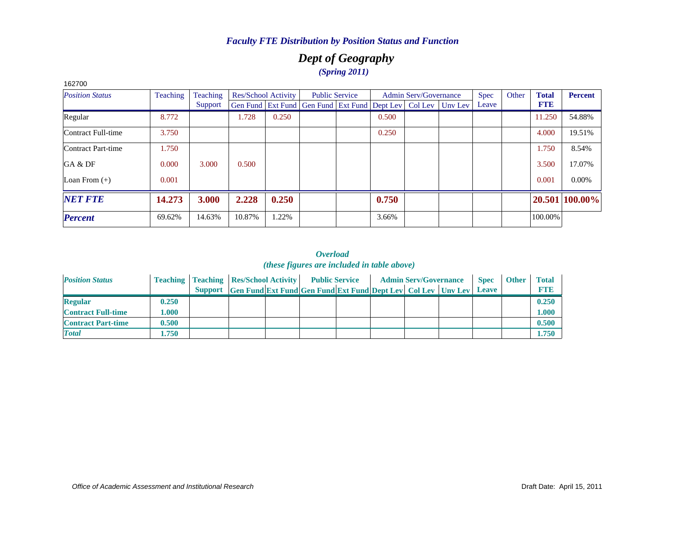# *Dept of Geography (Spring 2011)*

| 1 U L I U U<br><b>Position Status</b> | Teaching | Teaching |        | <b>Res/School Activity</b> |                                                                          | <b>Public Service</b> |       | <b>Admin Serv/Governance</b> | <b>Spec</b> | Other | <b>Total</b> | <b>Percent</b> |
|---------------------------------------|----------|----------|--------|----------------------------|--------------------------------------------------------------------------|-----------------------|-------|------------------------------|-------------|-------|--------------|----------------|
|                                       |          | Support  |        |                            | Gen Fund   Ext Fund   Gen Fund   Ext Fund   Dept Lev   Col Lev   Unv Lev |                       |       |                              | Leave       |       | <b>FTE</b>   |                |
| Regular                               | 8.772    |          | 1.728  | 0.250                      |                                                                          |                       | 0.500 |                              |             |       | 11.250       | 54.88%         |
| Contract Full-time                    | 3.750    |          |        |                            |                                                                          |                       | 0.250 |                              |             |       | 4.000        | 19.51%         |
| Contract Part-time                    | 1.750    |          |        |                            |                                                                          |                       |       |                              |             |       | 1.750        | 8.54%          |
| GA & DF                               | 0.000    | 3.000    | 0.500  |                            |                                                                          |                       |       |                              |             |       | 3.500        | 17.07%         |
| Loan From $(+)$                       | 0.001    |          |        |                            |                                                                          |                       |       |                              |             |       | 0.001        | $0.00\%$       |
| <b>NET FTE</b>                        | 14.273   | 3.000    | 2.228  | 0.250                      |                                                                          |                       | 0.750 |                              |             |       |              | 20.501 100.00% |
| <b>Percent</b>                        | 69.62%   | 14.63%   | 10.87% | 1.22%                      |                                                                          |                       | 3.66% |                              |             |       | 100.00%      |                |

#### *Overload (these figures are included in table above)*

| <b>Position Status</b>    |       | <b>Teaching   Teaching   Res/School Activity   Public Service</b> |                                                                            |  |  | <b>Admin Serv/Governance</b> | <b>Spec</b> | <b>Other</b> | <b>Total</b> |
|---------------------------|-------|-------------------------------------------------------------------|----------------------------------------------------------------------------|--|--|------------------------------|-------------|--------------|--------------|
|                           |       |                                                                   | Support Gen Fund Ext Fund Gen Fund Ext Fund Dept Lev Col Lev Unv Lev Leave |  |  |                              |             |              | <b>FTE</b>   |
| <b>Regular</b>            | 0.250 |                                                                   |                                                                            |  |  |                              |             |              | 0.250        |
| <b>Contract Full-time</b> | 1.000 |                                                                   |                                                                            |  |  |                              |             |              | 1.000        |
| <b>Contract Part-time</b> | 0.500 |                                                                   |                                                                            |  |  |                              |             |              | 0.500        |
| <b>Total</b>              | 1.750 |                                                                   |                                                                            |  |  |                              |             |              | 1.750        |

162700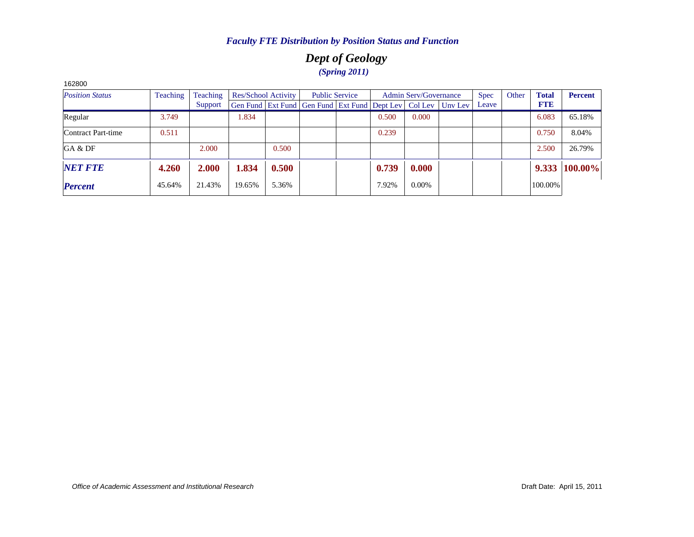# *Dept of Geology (Spring 2011)*

| 162800                 |          |          |        |                     |                                                                |       |                              |         |             |       |              |                |
|------------------------|----------|----------|--------|---------------------|----------------------------------------------------------------|-------|------------------------------|---------|-------------|-------|--------------|----------------|
| <b>Position Status</b> | Teaching | Teaching |        | Res/School Activity | <b>Public Service</b>                                          |       | <b>Admin Serv/Governance</b> |         | <b>Spec</b> | Other | <b>Total</b> | <b>Percent</b> |
|                        |          | Support  |        |                     | Gen Fund   Ext Fund   Gen Fund   Ext Fund   Dept Lev   Col Lev |       |                              | Unv Lev | Leave       |       | <b>FTE</b>   |                |
| Regular                | 3.749    |          | 1.834  |                     |                                                                | 0.500 | 0.000                        |         |             |       | 6.083        | 65.18%         |
| Contract Part-time     | 0.511    |          |        |                     |                                                                | 0.239 |                              |         |             |       | 0.750        | 8.04%          |
| GA & DF                |          | 2.000    |        | 0.500               |                                                                |       |                              |         |             |       | 2.500        | 26.79%         |
| <b>NET FTE</b>         | 4.260    | 2.000    | 1.834  | 0.500               |                                                                | 0.739 | 0.000                        |         |             |       | 9.333        | 100.00%        |
| <b>Percent</b>         | 45.64%   | 21.43%   | 19.65% | 5.36%               |                                                                | 7.92% | $0.00\%$                     |         |             |       | 100.00%      |                |

*Office of Academic Assessment and Institutional Research*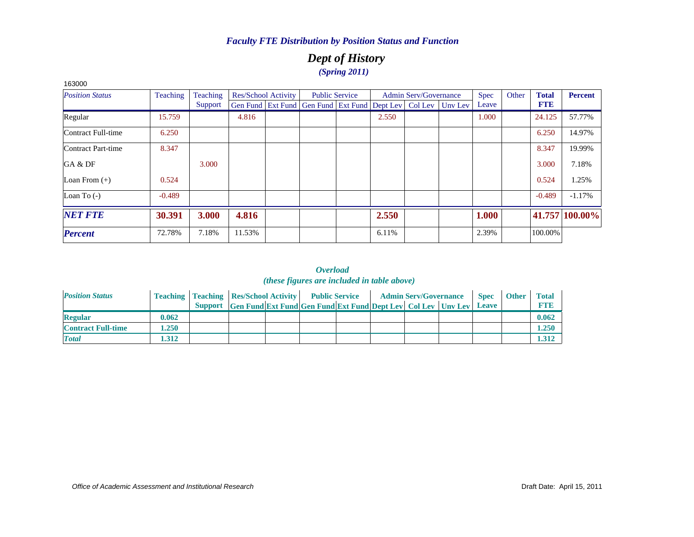# *Dept of History (Spring 2011)*

| 163000                 |          |                 |        |                     |                                                                  |                       |       |                              |             |       |              |                |
|------------------------|----------|-----------------|--------|---------------------|------------------------------------------------------------------|-----------------------|-------|------------------------------|-------------|-------|--------------|----------------|
| <b>Position Status</b> | Teaching | <b>Teaching</b> |        | Res/School Activity |                                                                  | <b>Public Service</b> |       | <b>Admin Serv/Governance</b> | <b>Spec</b> | Other | <b>Total</b> | <b>Percent</b> |
|                        |          | Support         |        |                     | Gen Fund Ext Fund Gen Fund Ext Fund Dept Lev   Col Lev   Unv Lev |                       |       |                              | Leave       |       | <b>FTE</b>   |                |
| Regular                | 15.759   |                 | 4.816  |                     |                                                                  |                       | 2.550 |                              | 1.000       |       | 24.125       | 57.77%         |
| Contract Full-time     | 6.250    |                 |        |                     |                                                                  |                       |       |                              |             |       | 6.250        | 14.97%         |
| Contract Part-time     | 8.347    |                 |        |                     |                                                                  |                       |       |                              |             |       | 8.347        | 19.99%         |
| GA & DF                |          | 3.000           |        |                     |                                                                  |                       |       |                              |             |       | 3.000        | 7.18%          |
| Loan From $(+)$        | 0.524    |                 |        |                     |                                                                  |                       |       |                              |             |       | 0.524        | 1.25%          |
| Loan To $(-)$          | $-0.489$ |                 |        |                     |                                                                  |                       |       |                              |             |       | $-0.489$     | $-1.17\%$      |
| <b>NET FTE</b>         | 30.391   | 3.000           | 4.816  |                     |                                                                  |                       | 2.550 |                              | 1.000       |       |              | 41.757 100.00% |
| <b>Percent</b>         | 72.78%   | 7.18%           | 11.53% |                     |                                                                  |                       | 6.11% |                              | 2.39%       |       | 100.00%      |                |

| <b>Position Status</b>    |       | <b>Teaching   Teaching   Res/School Activity   Public Service</b> |                                                                      |  |  | <b>Admin Serv/Governance</b> | <b>Spec</b>  | <b>Other</b> | Total       |
|---------------------------|-------|-------------------------------------------------------------------|----------------------------------------------------------------------|--|--|------------------------------|--------------|--------------|-------------|
|                           |       |                                                                   | Support Gen Fund Ext Fund Gen Fund Ext Fund Dept Lev Col Lev Unv Lev |  |  |                              | <b>Leave</b> |              | <b>FTIP</b> |
| <b>Regular</b>            | 0.062 |                                                                   |                                                                      |  |  |                              |              |              | 0.062       |
| <b>Contract Full-time</b> | 1.250 |                                                                   |                                                                      |  |  |                              |              |              | 1.250       |
| <b>Total</b>              | .312  |                                                                   |                                                                      |  |  |                              |              |              | 1.312       |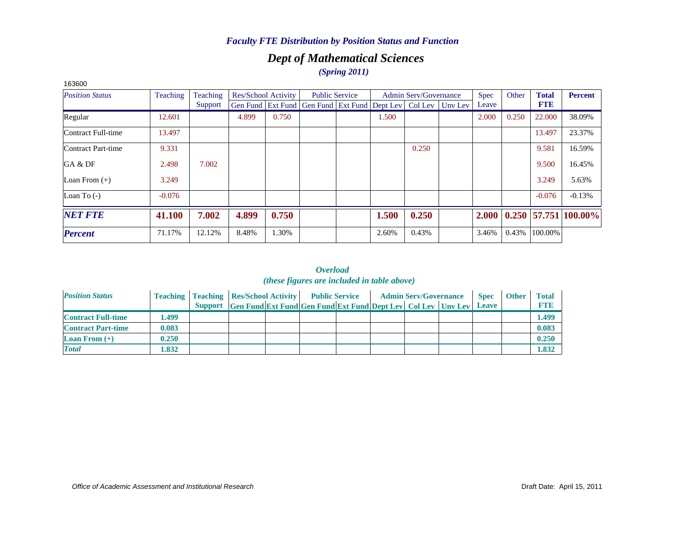# *Dept of Mathematical Sciences*

*(Spring 2011)*

| 163600                 |          |          |       |                     |                                                                  |                       |       |                              |             |       |              |                        |
|------------------------|----------|----------|-------|---------------------|------------------------------------------------------------------|-----------------------|-------|------------------------------|-------------|-------|--------------|------------------------|
| <b>Position Status</b> | Teaching | Teaching |       | Res/School Activity |                                                                  | <b>Public Service</b> |       | <b>Admin Serv/Governance</b> | <b>Spec</b> | Other | <b>Total</b> | <b>Percent</b>         |
|                        |          | Support  |       |                     | Gen Fund Ext Fund Gen Fund Ext Fund Dept Lev   Col Lev   Unv Lev |                       |       |                              | Leave       |       | <b>FTE</b>   |                        |
| Regular                | 12.601   |          | 4.899 | 0.750               |                                                                  |                       | 1.500 |                              | 2.000       | 0.250 | 22,000       | 38.09%                 |
| Contract Full-time     | 13.497   |          |       |                     |                                                                  |                       |       |                              |             |       | 13.497       | 23.37%                 |
| Contract Part-time     | 9.331    |          |       |                     |                                                                  |                       |       | 0.250                        |             |       | 9.581        | 16.59%                 |
| GA & DF                | 2.498    | 7.002    |       |                     |                                                                  |                       |       |                              |             |       | 9.500        | 16.45%                 |
| Loan From $(+)$        | 3.249    |          |       |                     |                                                                  |                       |       |                              |             |       | 3.249        | 5.63%                  |
| Loan To $(-)$          | $-0.076$ |          |       |                     |                                                                  |                       |       |                              |             |       | $-0.076$     | $-0.13%$               |
| <b>NET FTE</b>         | 41.100   | 7.002    | 4.899 | 0.750               |                                                                  |                       | 1.500 | 0.250                        | 2.000       |       |              | $0.250$ 57.751 100.00% |
| <b>Percent</b>         | 71.17%   | 12.12%   | 8.48% | 1.30%               |                                                                  |                       | 2.60% | 0.43%                        | 3.46%       | 0.43% | 100.00%      |                        |

| <b>Position Status</b>            |       | <b>Teaching   Teaching   Res/School Activity   Public Service</b>    |  |  | <b>Admin Serv/Governance</b> | <b>Spec</b>  | <b>Other</b> | <b>Total</b> |
|-----------------------------------|-------|----------------------------------------------------------------------|--|--|------------------------------|--------------|--------------|--------------|
|                                   |       | Support Gen Fund Ext Fund Gen Fund Ext Fund Dept Lev Col Lev Unv Lev |  |  |                              | <b>Leave</b> |              | <b>FTE</b>   |
| <b>Contract Full-time</b>         | .499  |                                                                      |  |  |                              |              |              | 1.499        |
| <b>Contract Part-time</b>         | 0.083 |                                                                      |  |  |                              |              |              | 0.083        |
| <b>Loan From <math>(+)</math></b> | 0.250 |                                                                      |  |  |                              |              |              | 0.250        |
| <b>Total</b>                      | .832  |                                                                      |  |  |                              |              |              | 1.832        |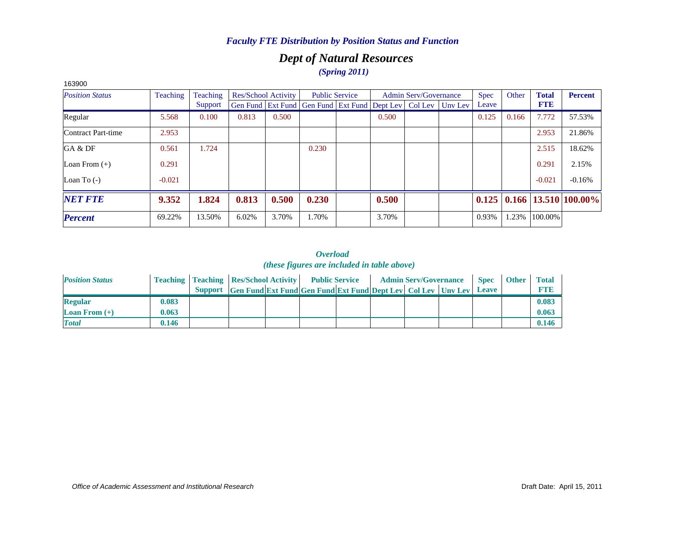# *Dept of Natural Resources (Spring 2011)*

| 163900                 |          |          |       |                     |                                                                  |                       |       |                              |             |       |              |                            |
|------------------------|----------|----------|-------|---------------------|------------------------------------------------------------------|-----------------------|-------|------------------------------|-------------|-------|--------------|----------------------------|
| <b>Position Status</b> | Teaching | Teaching |       | Res/School Activity |                                                                  | <b>Public Service</b> |       | <b>Admin Serv/Governance</b> | <b>Spec</b> | Other | <b>Total</b> | <b>Percent</b>             |
|                        |          | Support  |       |                     | Gen Fund Ext Fund Gen Fund Ext Fund Dept Lev   Col Lev   Unv Lev |                       |       |                              | Leave       |       | <b>FTE</b>   |                            |
| Regular                | 5.568    | 0.100    | 0.813 | 0.500               |                                                                  |                       | 0.500 |                              | 0.125       | 0.166 | 7.772        | 57.53%                     |
| Contract Part-time     | 2.953    |          |       |                     |                                                                  |                       |       |                              |             |       | 2.953        | 21.86%                     |
| GA & DF                | 0.561    | 1.724    |       |                     | 0.230                                                            |                       |       |                              |             |       | 2.515        | 18.62%                     |
| Loan From $(+)$        | 0.291    |          |       |                     |                                                                  |                       |       |                              |             |       | 0.291        | 2.15%                      |
| Loan To $(-)$          | $-0.021$ |          |       |                     |                                                                  |                       |       |                              |             |       | $-0.021$     | $-0.16%$                   |
| <b>NET FTE</b>         | 9.352    | 1.824    | 0.813 | 0.500               | 0.230                                                            |                       | 0.500 |                              | 0.125       |       |              | $0.166$   13.510   100.00% |
| <b>Percent</b>         | 69.22%   | 13.50%   | 6.02% | 3.70%               | 1.70%                                                            |                       | 3.70% |                              | 0.93%       | 1.23% | 100.00%      |                            |

| <b>Position Status</b>            |       | <b>Teaching   Teaching   Res/School Activity   Public Service</b> |                                                                            |  |  | <b>Admin Serv/Governance</b> | <b>Spec</b> | <b>Other</b> | <b>Total</b> |
|-----------------------------------|-------|-------------------------------------------------------------------|----------------------------------------------------------------------------|--|--|------------------------------|-------------|--------------|--------------|
|                                   |       |                                                                   | Support Gen Fund Ext Fund Gen Fund Ext Fund Dept Lev Col Lev Unv Lev Leave |  |  |                              |             |              | <b>FTE</b>   |
| <b>Regular</b>                    | 0.083 |                                                                   |                                                                            |  |  |                              |             |              | 0.083        |
| <b>Loan From <math>(+)</math></b> | 0.063 |                                                                   |                                                                            |  |  |                              |             |              | 0.063        |
| <b>Total</b>                      | 0.146 |                                                                   |                                                                            |  |  |                              |             |              | 0.146        |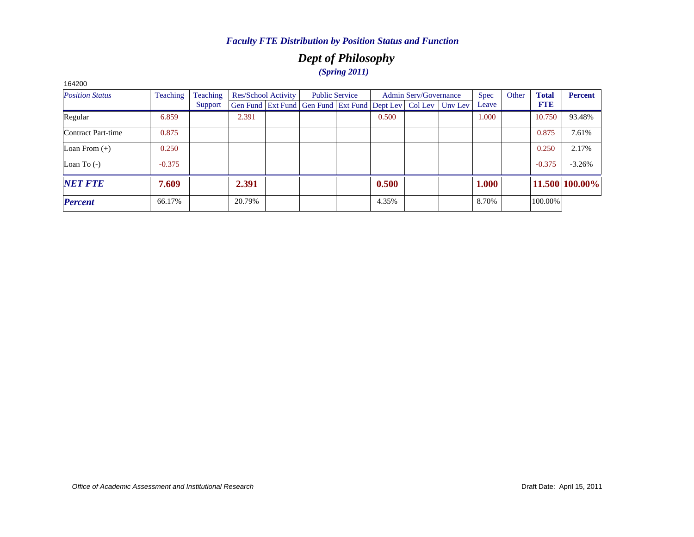# *Dept of Philosophy (Spring 2011)*

| 164200                 |                 |          |        |                     |                                                                          |                       |       |                              |       |       |              |                |
|------------------------|-----------------|----------|--------|---------------------|--------------------------------------------------------------------------|-----------------------|-------|------------------------------|-------|-------|--------------|----------------|
| <b>Position Status</b> | <b>Teaching</b> | Teaching |        | Res/School Activity |                                                                          | <b>Public Service</b> |       | <b>Admin Serv/Governance</b> | Spec  | Other | <b>Total</b> | <b>Percent</b> |
|                        |                 | Support  |        |                     | Gen Fund   Ext Fund   Gen Fund   Ext Fund   Dept Lev   Col Lev   Unv Lev |                       |       |                              | Leave |       | <b>FTE</b>   |                |
| Regular                | 6.859           |          | 2.391  |                     |                                                                          |                       | 0.500 |                              | 1.000 |       | 10.750       | 93.48%         |
| Contract Part-time     | 0.875           |          |        |                     |                                                                          |                       |       |                              |       |       | 0.875        | 7.61%          |
| Loan From $(+)$        | 0.250           |          |        |                     |                                                                          |                       |       |                              |       |       | 0.250        | 2.17%          |
| Loan To $(-)$          | $-0.375$        |          |        |                     |                                                                          |                       |       |                              |       |       | $-0.375$     | $-3.26%$       |
| <b>NET FTE</b>         | 7.609           |          | 2.391  |                     |                                                                          |                       | 0.500 |                              | 1.000 |       |              | 11.500 100.00% |
| <b>Percent</b>         | 66.17%          |          | 20.79% |                     |                                                                          |                       | 4.35% |                              | 8.70% |       | 100.00%      |                |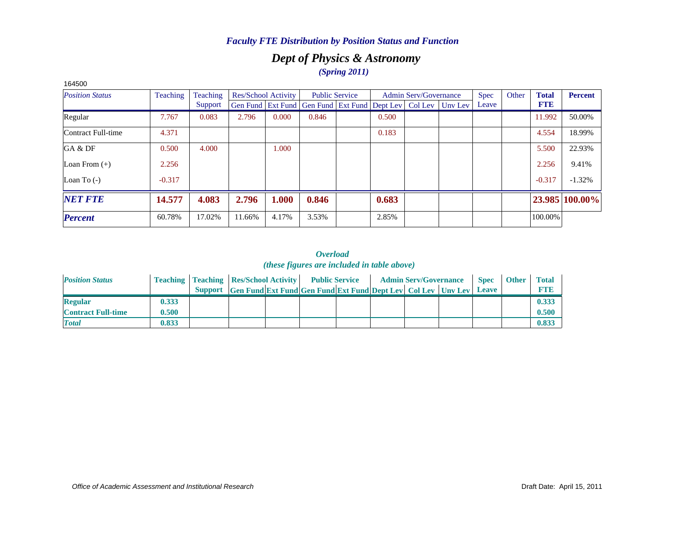## *Dept of Physics & Astronomy (Spring 2011)*

| 164500                 |          |          |                            |       |                                                                  |                       |       |                              |             |       |              |                |
|------------------------|----------|----------|----------------------------|-------|------------------------------------------------------------------|-----------------------|-------|------------------------------|-------------|-------|--------------|----------------|
| <b>Position Status</b> | Teaching | Teaching | <b>Res/School Activity</b> |       |                                                                  | <b>Public Service</b> |       | <b>Admin Serv/Governance</b> | <b>Spec</b> | Other | <b>Total</b> | <b>Percent</b> |
|                        |          | Support  |                            |       | Gen Fund Ext Fund Gen Fund Ext Fund Dept Lev   Col Lev   Unv Lev |                       |       |                              | Leave       |       | <b>FTE</b>   |                |
| Regular                | 7.767    | 0.083    | 2.796                      | 0.000 | 0.846                                                            |                       | 0.500 |                              |             |       | 11.992       | 50.00%         |
| Contract Full-time     | 4.371    |          |                            |       |                                                                  |                       | 0.183 |                              |             |       | 4.554        | 18.99%         |
| GA & DF                | 0.500    | 4.000    |                            | 1.000 |                                                                  |                       |       |                              |             |       | 5.500        | 22.93%         |
| Loan From $(+)$        | 2.256    |          |                            |       |                                                                  |                       |       |                              |             |       | 2.256        | 9.41%          |
| Loan To $(-)$          | $-0.317$ |          |                            |       |                                                                  |                       |       |                              |             |       | $-0.317$     | $-1.32%$       |
| <b>NET FTE</b>         | 14.577   | 4.083    | 2.796                      | 1.000 | 0.846                                                            |                       | 0.683 |                              |             |       |              | 23.985 100.00% |
| <b>Percent</b>         | 60.78%   | 17.02%   | 11.66%                     | 4.17% | 3.53%                                                            |                       | 2.85% |                              |             |       | 100.00%      |                |

#### *Overload (these figures are included in table above)*

| <b>Position Status</b>    |       | <b>Teaching   Teaching   Res/School Activity    </b> |                                                                      | <b>Public Service</b> |  | <b>Admin Serv/Governance</b> | <b>Spec</b>  | <b>Other</b> | <b>Total</b> |
|---------------------------|-------|------------------------------------------------------|----------------------------------------------------------------------|-----------------------|--|------------------------------|--------------|--------------|--------------|
|                           |       |                                                      | Support Gen Fund Ext Fund Gen Fund Ext Fund Dept Lev Col Lev Unv Lev |                       |  |                              | <b>Leave</b> |              | <b>FTIE</b>  |
| <b>Regular</b>            | 0.333 |                                                      |                                                                      |                       |  |                              |              |              | 0.333        |
| <b>Contract Full-time</b> | 0.500 |                                                      |                                                                      |                       |  |                              |              |              | 0.500        |
| <b>Total</b>              | 0.833 |                                                      |                                                                      |                       |  |                              |              |              | 0.833        |

#### *Office of Academic Assessment and Institutional Research*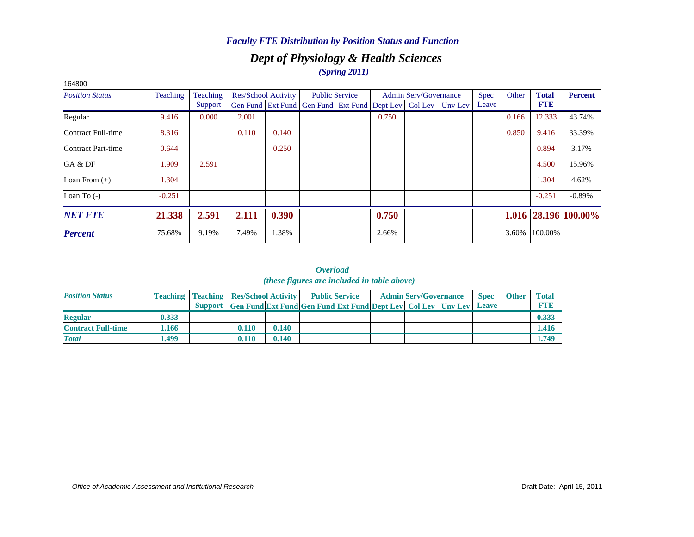# *Dept of Physiology & Health Sciences (Spring 2011)*

| 164800                 |          |                 |       |                     |                                                                          |                       |       |                              |             |       |              |                      |
|------------------------|----------|-----------------|-------|---------------------|--------------------------------------------------------------------------|-----------------------|-------|------------------------------|-------------|-------|--------------|----------------------|
| <b>Position Status</b> | Teaching | <b>Teaching</b> |       | Res/School Activity |                                                                          | <b>Public Service</b> |       | <b>Admin Serv/Governance</b> | <b>Spec</b> | Other | <b>Total</b> | <b>Percent</b>       |
|                        |          | Support         |       |                     | Gen Fund   Ext Fund   Gen Fund   Ext Fund   Dept Lev   Col Lev   Unv Lev |                       |       |                              | Leave       |       | <b>FTE</b>   |                      |
| Regular                | 9.416    | 0.000           | 2.001 |                     |                                                                          |                       | 0.750 |                              |             | 0.166 | 12.333       | 43.74%               |
| Contract Full-time     | 8.316    |                 | 0.110 | 0.140               |                                                                          |                       |       |                              |             | 0.850 | 9.416        | 33.39%               |
| Contract Part-time     | 0.644    |                 |       | 0.250               |                                                                          |                       |       |                              |             |       | 0.894        | 3.17%                |
| GA & DF                | 1.909    | 2.591           |       |                     |                                                                          |                       |       |                              |             |       | 4.500        | 15.96%               |
| Loan From $(+)$        | 1.304    |                 |       |                     |                                                                          |                       |       |                              |             |       | 1.304        | 4.62%                |
| Loan To $(-)$          | $-0.251$ |                 |       |                     |                                                                          |                       |       |                              |             |       | $-0.251$     | $-0.89%$             |
| <b>NET FTE</b>         | 21.338   | 2.591           | 2.111 | 0.390               |                                                                          |                       | 0.750 |                              |             |       |              | 1.016 28.196 100.00% |
| <b>Percent</b>         | 75.68%   | 9.19%           | 7.49% | 1.38%               |                                                                          |                       | 2.66% |                              |             | 3.60% | 100.00%      |                      |

| <b>Position Status</b>    |       | <b>Teaching   Teaching   Res/School Activity   Public Service</b> |                                                                      |       |  | <b>Admin Serv/Governance</b> | <b>Spec</b>  | <b>Other</b> | <b>Total</b> |
|---------------------------|-------|-------------------------------------------------------------------|----------------------------------------------------------------------|-------|--|------------------------------|--------------|--------------|--------------|
|                           |       |                                                                   | Support Gen Fund Ext Fund Gen Fund Ext Fund Dept Lev Col Lev Unv Lev |       |  |                              | <b>Leave</b> |              | <b>FTI3</b>  |
| <b>Regular</b>            | 0.333 |                                                                   |                                                                      |       |  |                              |              |              | 0.333        |
| <b>Contract Full-time</b> | 1.166 |                                                                   | 0.110                                                                | 0.140 |  |                              |              |              | 1.416        |
| <b>Total</b>              | .499  |                                                                   | 0.110                                                                | 0.140 |  |                              |              |              | 1.749        |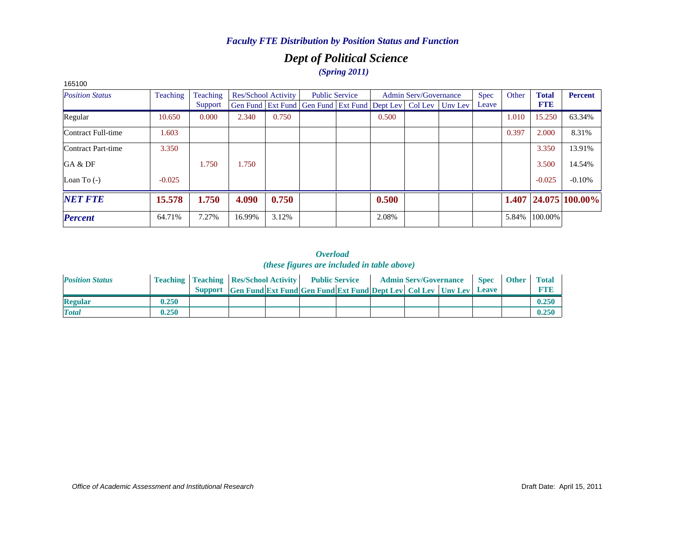# *Dept of Political Science (Spring 2011)*

| 100100                 |          |          |        |                            |                                                                  |                       |       |                              |             |       |              |                      |
|------------------------|----------|----------|--------|----------------------------|------------------------------------------------------------------|-----------------------|-------|------------------------------|-------------|-------|--------------|----------------------|
| <b>Position Status</b> | Teaching | Teaching |        | <b>Res/School Activity</b> |                                                                  | <b>Public Service</b> |       | <b>Admin Serv/Governance</b> | <b>Spec</b> | Other | <b>Total</b> | <b>Percent</b>       |
|                        |          | Support  |        |                            | Gen Fund Ext Fund Gen Fund Ext Fund Dept Lev   Col Lev   Unv Lev |                       |       |                              | Leave       |       | <b>FTE</b>   |                      |
| Regular                | 10.650   | 0.000    | 2.340  | 0.750                      |                                                                  |                       | 0.500 |                              |             | 1.010 | 15.250       | 63.34%               |
| Contract Full-time     | 1.603    |          |        |                            |                                                                  |                       |       |                              |             | 0.397 | 2.000        | 8.31%                |
| Contract Part-time     | 3.350    |          |        |                            |                                                                  |                       |       |                              |             |       | 3.350        | 13.91%               |
| GA & DF                |          | 1.750    | 1.750  |                            |                                                                  |                       |       |                              |             |       | 3.500        | 14.54%               |
| Loan To $(-)$          | $-0.025$ |          |        |                            |                                                                  |                       |       |                              |             |       | $-0.025$     | $-0.10%$             |
| <b>NET FTE</b>         | 15.578   | 1.750    | 4.090  | 0.750                      |                                                                  |                       | 0.500 |                              |             |       |              | 1.407 24.075 100.00% |
| <b>Percent</b>         | 64.71%   | 7.27%    | 16.99% | 3.12%                      |                                                                  |                       | 2.08% |                              |             | 5.84% | 100.00%      |                      |

#### 165100

| <b>Position Status</b> |       | <b>Teaching   Teaching   Res/School Activity   Public Service</b> |                                                                            |  |  | <b>Admin Serv/Governance</b> Spec | <b>Other</b> | <b>Total</b> |
|------------------------|-------|-------------------------------------------------------------------|----------------------------------------------------------------------------|--|--|-----------------------------------|--------------|--------------|
|                        |       |                                                                   | Support Gen Fund Ext Fund Gen Fund Ext Fund Dept Lev Col Lev Unv Lev Leave |  |  |                                   |              | <b>FTE</b>   |
| <b>Regular</b>         | 0.250 |                                                                   |                                                                            |  |  |                                   |              | 0.250        |
| <b>Total</b>           | 0.250 |                                                                   |                                                                            |  |  |                                   |              | 0.250        |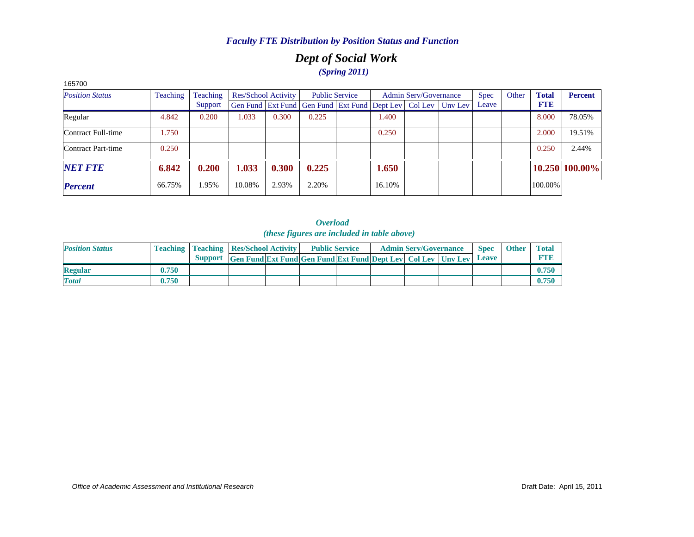# *Dept of Social Work (Spring 2011)*

| 165700                 |                 |                 |        |                            |                                                                |                       |        |                              |         |             |       |              |                |
|------------------------|-----------------|-----------------|--------|----------------------------|----------------------------------------------------------------|-----------------------|--------|------------------------------|---------|-------------|-------|--------------|----------------|
| <b>Position Status</b> | <b>Teaching</b> | <b>Teaching</b> |        | <b>Res/School Activity</b> |                                                                | <b>Public Service</b> |        | <b>Admin Serv/Governance</b> |         | <b>Spec</b> | Other | <b>Total</b> | <b>Percent</b> |
|                        |                 | Support         |        |                            | Gen Fund   Ext Fund   Gen Fund   Ext Fund   Dept Lev   Col Lev |                       |        |                              | Unv Lev | Leave       |       | <b>FTE</b>   |                |
| Regular                | 4.842           | 0.200           | 1.033  | 0.300                      | 0.225                                                          |                       | 1.400  |                              |         |             |       | 8.000        | 78.05%         |
| Contract Full-time     | 1.750           |                 |        |                            |                                                                |                       | 0.250  |                              |         |             |       | 2.000        | 19.51%         |
| Contract Part-time     | 0.250           |                 |        |                            |                                                                |                       |        |                              |         |             |       | 0.250        | 2.44%          |
| <b>NET FTE</b>         | 6.842           | 0.200           | 1.033  | 0.300                      | 0.225                                                          |                       | 1.650  |                              |         |             |       |              | 10.250 100.00% |
| <b>Percent</b>         | 66.75%          | 1.95%           | 10.08% | 2.93%                      | 2.20%                                                          |                       | 16.10% |                              |         |             |       | 100.00%      |                |

| <b>Position Status</b> |       | <b>Teaching   Teaching   Res/School Activity  </b> |                                                                      | <b>Public Service</b> |  | <b>Admin Serv/Governance</b> | <b>Spec</b> | <b>Other</b> | <b>Total</b> |
|------------------------|-------|----------------------------------------------------|----------------------------------------------------------------------|-----------------------|--|------------------------------|-------------|--------------|--------------|
|                        |       |                                                    | Support Gen Fund Ext Fund Gen Fund Ext Fund Dept Lev Col Lev Unv Lev |                       |  |                              | Leave       |              | <b>FTE</b>   |
| <b>Regular</b>         | 0.750 |                                                    |                                                                      |                       |  |                              |             |              | 0.750        |
| <b>Total</b>           | 0.750 |                                                    |                                                                      |                       |  |                              |             |              | 0.750        |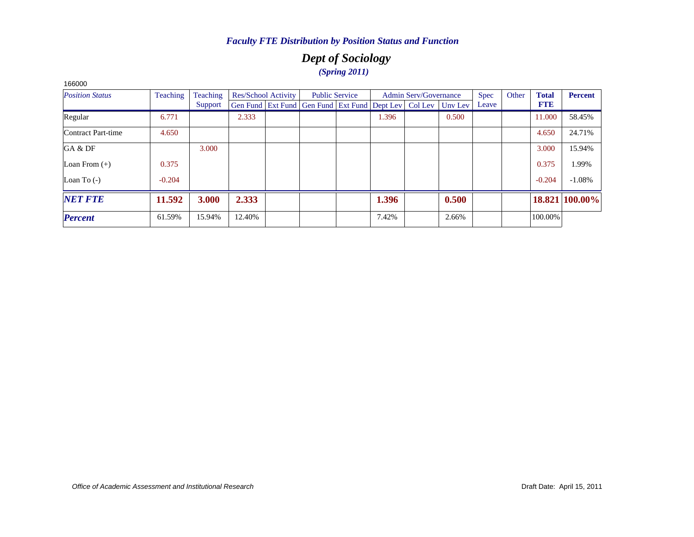# *Dept of Sociology (Spring 2011)*

| TUUUU                  |          |          |        |                            |                                                                |                       |       |                              |         |       |       |              |                |
|------------------------|----------|----------|--------|----------------------------|----------------------------------------------------------------|-----------------------|-------|------------------------------|---------|-------|-------|--------------|----------------|
| <b>Position Status</b> | Teaching | Teaching |        | <b>Res/School Activity</b> |                                                                | <b>Public Service</b> |       | <b>Admin Serv/Governance</b> |         | Spec  | Other | <b>Total</b> | <b>Percent</b> |
|                        |          | Support  |        |                            | Gen Fund   Ext Fund   Gen Fund   Ext Fund   Dept Lev   Col Lev |                       |       |                              | Uny Lev | Leave |       | <b>FTE</b>   |                |
| Regular                | 6.771    |          | 2.333  |                            |                                                                |                       | 1.396 |                              | 0.500   |       |       | 11.000       | 58.45%         |
| Contract Part-time     | 4.650    |          |        |                            |                                                                |                       |       |                              |         |       |       | 4.650        | 24.71%         |
| GA & DF                |          | 3.000    |        |                            |                                                                |                       |       |                              |         |       |       | 3.000        | 15.94%         |
| Loan From $(+)$        | 0.375    |          |        |                            |                                                                |                       |       |                              |         |       |       | 0.375        | 1.99%          |
| Loan To $(-)$          | $-0.204$ |          |        |                            |                                                                |                       |       |                              |         |       |       | $-0.204$     | $-1.08%$       |
| <b>NET FTE</b>         | 11.592   | 3.000    | 2.333  |                            |                                                                |                       | 1.396 |                              | 0.500   |       |       |              | 18.821 100.00% |
| <b>Percent</b>         | 61.59%   | 15.94%   | 12.40% |                            |                                                                |                       | 7.42% |                              | 2.66%   |       |       | 100.00%      |                |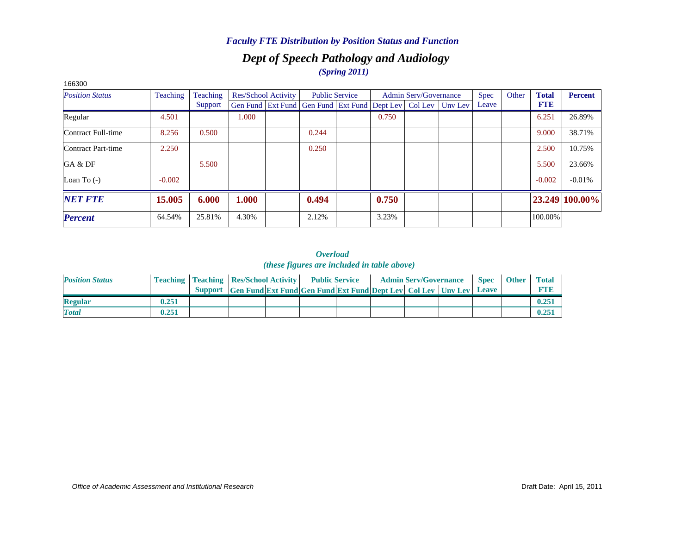## *Dept of Speech Pathology and Audiology (Spring 2011)*

| ,,,,,,,<br><b>Position Status</b> | Teaching | Teaching |       | <b>Res/School Activity</b> |                                                                  | <b>Public Service</b> |       | <b>Admin Serv/Governance</b> | <b>Spec</b> | Other | <b>Total</b> | <b>Percent</b> |
|-----------------------------------|----------|----------|-------|----------------------------|------------------------------------------------------------------|-----------------------|-------|------------------------------|-------------|-------|--------------|----------------|
|                                   |          | Support  |       |                            | Gen Fund Ext Fund Gen Fund Ext Fund Dept Lev   Col Lev   Unv Lev |                       |       |                              | Leave       |       | <b>FTE</b>   |                |
| Regular                           | 4.501    |          | 1.000 |                            |                                                                  |                       | 0.750 |                              |             |       | 6.251        | 26.89%         |
| Contract Full-time                | 8.256    | 0.500    |       |                            | 0.244                                                            |                       |       |                              |             |       | 9.000        | 38.71%         |
| Contract Part-time                | 2.250    |          |       |                            | 0.250                                                            |                       |       |                              |             |       | 2.500        | 10.75%         |
| GA & DF                           |          | 5.500    |       |                            |                                                                  |                       |       |                              |             |       | 5.500        | 23.66%         |
| Loan To $(-)$                     | $-0.002$ |          |       |                            |                                                                  |                       |       |                              |             |       | $-0.002$     | $-0.01%$       |
| <b>NET FTE</b>                    | 15.005   | 6.000    | 1.000 |                            | 0.494                                                            |                       | 0.750 |                              |             |       |              | 23.249 100.00% |
| <b>Percent</b>                    | 64.54%   | 25.81%   | 4.30% |                            | 2.12%                                                            |                       | 3.23% |                              |             |       | 100.00%      |                |

#### *Overload (these figures are included in table above)*

| <b>Position Status</b> |       | <b>Teaching   Teaching   Res/School Activity   Public Service</b> |                                                                            |  |  | <b>Admin Serv/Governance</b> | <b>Spec</b> | <b>Other</b> | <b>Total</b> |
|------------------------|-------|-------------------------------------------------------------------|----------------------------------------------------------------------------|--|--|------------------------------|-------------|--------------|--------------|
|                        |       |                                                                   | Support Gen Fund Ext Fund Gen Fund Ext Fund Dept Lev Col Lev Unv Lev Leave |  |  |                              |             |              |              |
| <b>Regular</b>         | 0.251 |                                                                   |                                                                            |  |  |                              |             |              | 0.25         |
| <b>Total</b>           | 0.251 |                                                                   |                                                                            |  |  |                              |             |              | 0.25         |

#### *Office of Academic Assessment and Institutional Research*

166300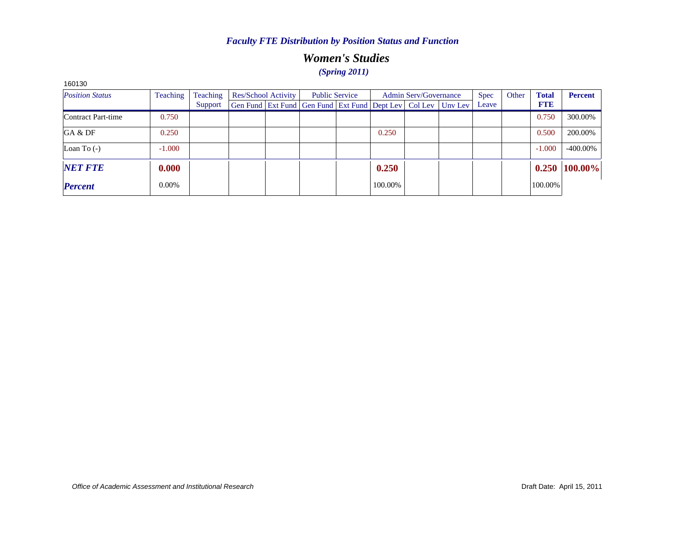# *Women's Studies (Spring 2011)*

| <b>Position Status</b> | Teaching | Teaching | Res/School Activity                                          | <b>Public Service</b> |         | Admin Serv/Governance | <b>Spec</b> | Other | <b>Total</b> | <b>Percent</b> |
|------------------------|----------|----------|--------------------------------------------------------------|-----------------------|---------|-----------------------|-------------|-------|--------------|----------------|
|                        |          | Support  | Gen Fund Ext Fund Gen Fund Ext Fund Dept Lev Col Lev Unv Lev |                       |         |                       | Leave       |       | <b>FTE</b>   |                |
| Contract Part-time     | 0.750    |          |                                                              |                       |         |                       |             |       | 0.750        | 300.00%        |
| GA & DF                | 0.250    |          |                                                              |                       | 0.250   |                       |             |       | 0.500        | 200.00%        |
| Loan To $(-)$          | $-1.000$ |          |                                                              |                       |         |                       |             |       | $-1.000$     | -400.00%       |
| <b>NET FTE</b>         | 0.000    |          |                                                              |                       | 0.250   |                       |             |       | 0.250        | 100.00%        |
| <b>Percent</b>         | $0.00\%$ |          |                                                              |                       | 100.00% |                       |             |       | 100.00%      |                |

160130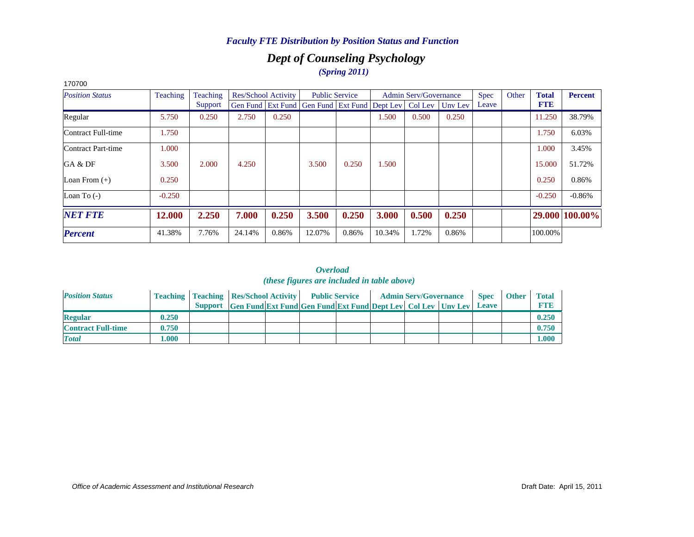# *Dept of Counseling Psychology (Spring 2011)*

| 170700                 |          |          |        |                            |                                                      |                       |        |                              |         |             |       |              |                |
|------------------------|----------|----------|--------|----------------------------|------------------------------------------------------|-----------------------|--------|------------------------------|---------|-------------|-------|--------------|----------------|
| <b>Position Status</b> | Teaching | Teaching |        | <b>Res/School Activity</b> |                                                      | <b>Public Service</b> |        | <b>Admin Serv/Governance</b> |         | <b>Spec</b> | Other | <b>Total</b> | <b>Percent</b> |
|                        |          | Support  |        |                            | Gen Fund   Ext Fund   Gen Fund   Ext Fund   Dept Lev |                       |        | Col Lev                      | Unv Lev | Leave       |       | <b>FTE</b>   |                |
| Regular                | 5.750    | 0.250    | 2.750  | 0.250                      |                                                      |                       | 1.500  | 0.500                        | 0.250   |             |       | 11.250       | 38.79%         |
| Contract Full-time     | 1.750    |          |        |                            |                                                      |                       |        |                              |         |             |       | 1.750        | 6.03%          |
| Contract Part-time     | 1.000    |          |        |                            |                                                      |                       |        |                              |         |             |       | 1.000        | 3.45%          |
| GA & DF                | 3.500    | 2.000    | 4.250  |                            | 3.500                                                | 0.250                 | 1.500  |                              |         |             |       | 15.000       | 51.72%         |
| Loan From $(+)$        | 0.250    |          |        |                            |                                                      |                       |        |                              |         |             |       | 0.250        | 0.86%          |
| Loan To $(-)$          | $-0.250$ |          |        |                            |                                                      |                       |        |                              |         |             |       | $-0.250$     | $-0.86%$       |
| <b>NET FTE</b>         | 12.000   | 2.250    | 7.000  | 0.250                      | 3.500                                                | 0.250                 | 3.000  | 0.500                        | 0.250   |             |       |              | 29.000 100.00% |
| <b>Percent</b>         | 41.38%   | 7.76%    | 24.14% | 0.86%                      | 12.07%                                               | 0.86%                 | 10.34% | 1.72%                        | 0.86%   |             |       | 100.00%      |                |

| <b>Position Status</b>    |       | <b>Teaching   Teaching   Res/School Activity   Public Service</b> |                                                                      |  |  | <b>Admin Serv/Governance</b> | <b>Spec</b>  | <b>Other</b> | <b>Total</b> |
|---------------------------|-------|-------------------------------------------------------------------|----------------------------------------------------------------------|--|--|------------------------------|--------------|--------------|--------------|
|                           |       |                                                                   | Support Gen Fund Ext Fund Gen Fund Ext Fund Dept Lev Col Lev Unv Lev |  |  |                              | <b>Leave</b> |              | <b>FTP</b>   |
| <b>Regular</b>            | 0.250 |                                                                   |                                                                      |  |  |                              |              |              | 0.250        |
| <b>Contract Full-time</b> | 0.750 |                                                                   |                                                                      |  |  |                              |              |              | 0.750        |
| <b>Total</b>              | .000. |                                                                   |                                                                      |  |  |                              |              |              | 000.1        |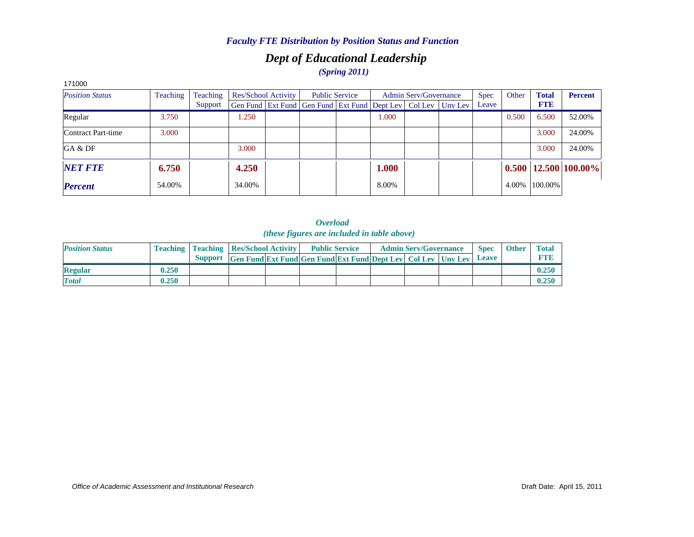# *Dept of Educational Leadership*

# *(Spring 2011)*

| 171000                 |          |          |        |                     |                                                                  |                       |       |                              |             |       |              |                            |
|------------------------|----------|----------|--------|---------------------|------------------------------------------------------------------|-----------------------|-------|------------------------------|-------------|-------|--------------|----------------------------|
| <b>Position Status</b> | Teaching | Teaching |        | Res/School Activity |                                                                  | <b>Public Service</b> |       | <b>Admin Serv/Governance</b> | <b>Spec</b> | Other | <b>Total</b> | <b>Percent</b>             |
|                        |          | Support  |        |                     | Gen Fund Ext Fund Gen Fund Ext Fund Dept Lev   Col Lev   Unv Lev |                       |       |                              | Leave       |       | <b>FTE</b>   |                            |
| Regular                | 3.750    |          | 1.250  |                     |                                                                  |                       | 1.000 |                              |             | 0.500 | 6.500        | 52.00%                     |
| Contract Part-time     | 3.000    |          |        |                     |                                                                  |                       |       |                              |             |       | 3.000        | 24.00%                     |
| GA & DF                |          |          | 3.000  |                     |                                                                  |                       |       |                              |             |       | 3.000        | 24.00%                     |
| <b>NET FTE</b>         | 6.750    |          | 4.250  |                     |                                                                  |                       | 1.000 |                              |             |       |              | $0.500$   12.500   100.00% |
| <b>Percent</b>         | 54.00%   |          | 34.00% |                     |                                                                  |                       | 8.00% |                              |             | 4.00% | 100.00%      |                            |

| <b>Position Status</b> |       | <b>Teaching   Teaching   Res/School Activity  </b>                       |  | <b>Public Service</b> |  | <b>Admin Serv/Governance</b> | <b>Spec</b> | <b>Other</b> | <b>Total</b> |
|------------------------|-------|--------------------------------------------------------------------------|--|-----------------------|--|------------------------------|-------------|--------------|--------------|
|                        |       | Support Gen Fund Ext Fund Gen Fund Ext Fund Dept Lev   Col Lev   Unv Lev |  |                       |  |                              | Leave       |              | <b>FTE</b>   |
| <b>Regular</b>         | 0.250 |                                                                          |  |                       |  |                              |             |              | 0.250        |
| <b>Total</b>           | 0.250 |                                                                          |  |                       |  |                              |             |              | 0.250        |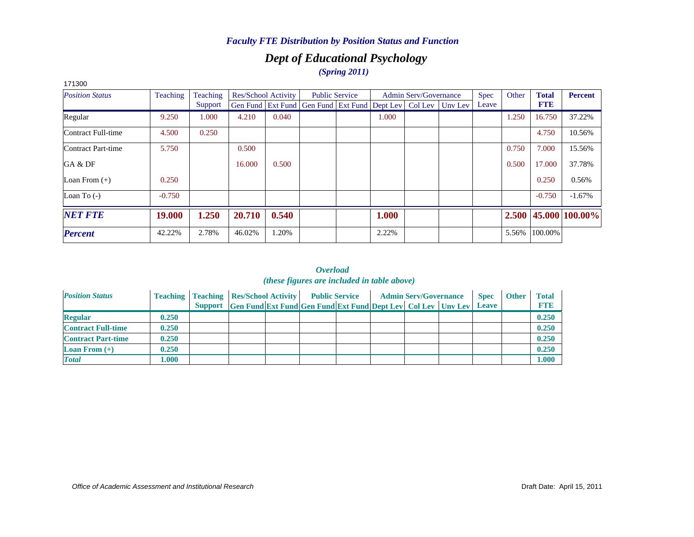# *Dept of Educational Psychology (Spring 2011)*

| 171300                 |                 |          |        |                     |                                                                  |                       |       |                              |             |       |              |                        |
|------------------------|-----------------|----------|--------|---------------------|------------------------------------------------------------------|-----------------------|-------|------------------------------|-------------|-------|--------------|------------------------|
| <b>Position Status</b> | <b>Teaching</b> | Teaching |        | Res/School Activity |                                                                  | <b>Public Service</b> |       | <b>Admin Serv/Governance</b> | <b>Spec</b> | Other | <b>Total</b> | <b>Percent</b>         |
|                        |                 | Support  |        |                     | Gen Fund Ext Fund Gen Fund Ext Fund Dept Lev   Col Lev   Unv Lev |                       |       |                              | Leave       |       | <b>FTE</b>   |                        |
| Regular                | 9.250           | 1.000    | 4.210  | 0.040               |                                                                  |                       | 1.000 |                              |             | 1.250 | 16.750       | 37.22%                 |
| Contract Full-time     | 4.500           | 0.250    |        |                     |                                                                  |                       |       |                              |             |       | 4.750        | 10.56%                 |
| Contract Part-time     | 5.750           |          | 0.500  |                     |                                                                  |                       |       |                              |             | 0.750 | 7.000        | 15.56%                 |
| GA & DF                |                 |          | 16.000 | 0.500               |                                                                  |                       |       |                              |             | 0.500 | 17.000       | 37.78%                 |
| Loan From $(+)$        | 0.250           |          |        |                     |                                                                  |                       |       |                              |             |       | 0.250        | 0.56%                  |
| Loan To $(-)$          | $-0.750$        |          |        |                     |                                                                  |                       |       |                              |             |       | $-0.750$     | $-1.67\%$              |
| <b>NET FTE</b>         | 19.000          | 1.250    | 20.710 | 0.540               |                                                                  |                       | 1.000 |                              |             |       |              | $2.500$ 45.000 100.00% |
| <b>Percent</b>         | 42.22%          | 2.78%    | 46.02% | .20%                |                                                                  |                       | 2.22% |                              |             | 5.56% | 100.00%      |                        |

| <b>Position Status</b>    |       | <b>Teaching   Teaching   Res/School Activity  </b> |                                                                      | <b>Public Service</b> |  | <b>Admin Serv/Governance</b> | <b>Spec</b> | <b>Other</b> | <b>Total</b> |
|---------------------------|-------|----------------------------------------------------|----------------------------------------------------------------------|-----------------------|--|------------------------------|-------------|--------------|--------------|
|                           |       |                                                    | Support Gen Fund Ext Fund Gen Fund Ext Fund Dept Lev Col Lev Unv Lev |                       |  |                              | Leave       |              | <b>FTE</b>   |
| <b>Regular</b>            | 0.250 |                                                    |                                                                      |                       |  |                              |             |              | 0.250        |
| <b>Contract Full-time</b> | 0.250 |                                                    |                                                                      |                       |  |                              |             |              | 0.250        |
| <b>Contract Part-time</b> | 0.250 |                                                    |                                                                      |                       |  |                              |             |              | 0.250        |
| <b>Loan From</b> $(+)$    | 0.250 |                                                    |                                                                      |                       |  |                              |             |              | 0.250        |
| <b>Total</b>              | 1.000 |                                                    |                                                                      |                       |  |                              |             |              | 1.000        |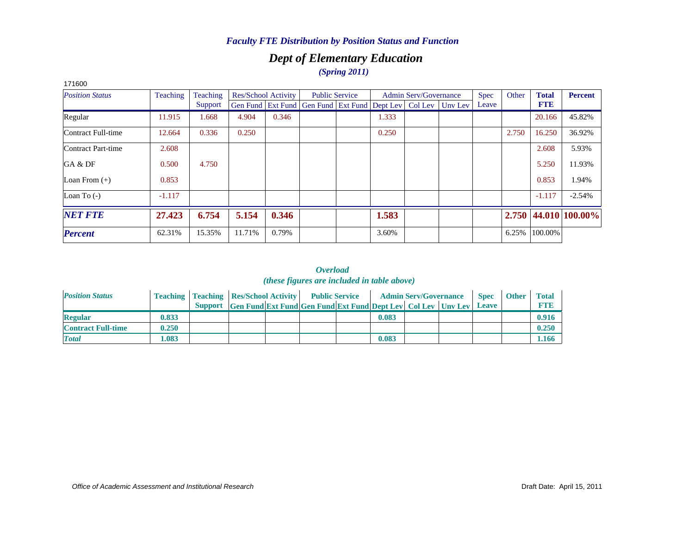## *Dept of Elementary Education (Spring 2011)*

| ,,,,,,,,               |          |          |        |                     |                                                                |                       |       |                              |         |             |       |              |                      |
|------------------------|----------|----------|--------|---------------------|----------------------------------------------------------------|-----------------------|-------|------------------------------|---------|-------------|-------|--------------|----------------------|
| <b>Position Status</b> | Teaching | Teaching |        | Res/School Activity |                                                                | <b>Public Service</b> |       | <b>Admin Serv/Governance</b> |         | <b>Spec</b> | Other | <b>Total</b> | <b>Percent</b>       |
|                        |          | Support  |        |                     | Gen Fund   Ext Fund   Gen Fund   Ext Fund   Dept Lev   Col Lev |                       |       |                              | Unv Lev | Leave       |       | <b>FTE</b>   |                      |
| Regular                | 11.915   | 1.668    | 4.904  | 0.346               |                                                                |                       | 1.333 |                              |         |             |       | 20.166       | 45.82%               |
| Contract Full-time     | 12.664   | 0.336    | 0.250  |                     |                                                                |                       | 0.250 |                              |         |             | 2.750 | 16.250       | 36.92%               |
| Contract Part-time     | 2.608    |          |        |                     |                                                                |                       |       |                              |         |             |       | 2.608        | 5.93%                |
| GA & DF                | 0.500    | 4.750    |        |                     |                                                                |                       |       |                              |         |             |       | 5.250        | 11.93%               |
| Loan From $(+)$        | 0.853    |          |        |                     |                                                                |                       |       |                              |         |             |       | 0.853        | 1.94%                |
| Loan To $(-)$          | $-1.117$ |          |        |                     |                                                                |                       |       |                              |         |             |       | $-1.117$     | $-2.54%$             |
| <b>NET FTE</b>         | 27.423   | 6.754    | 5.154  | 0.346               |                                                                |                       | 1.583 |                              |         |             |       |              | 2.750 44.010 100.00% |
| <b>Percent</b>         | 62.31%   | 15.35%   | 11.71% | 0.79%               |                                                                |                       | 3.60% |                              |         |             | 6.25% | 100.00%      |                      |

#### 171600

| <b>Position Status</b>    |       | <b>Teaching   Teaching   Res/School Activity   Public Service</b> |                                                                      |  |       | <b>Admin Serv/Governance</b> | <b>Spec</b> | <b>Other</b> | Total      |
|---------------------------|-------|-------------------------------------------------------------------|----------------------------------------------------------------------|--|-------|------------------------------|-------------|--------------|------------|
|                           |       |                                                                   | Support Gen Fund Ext Fund Gen Fund Ext Fund Dept Lev Col Lev Unv Lev |  |       |                              | Leave       |              | <b>FTP</b> |
| <b>Regular</b>            | 0.833 |                                                                   |                                                                      |  | 0.083 |                              |             |              | 0.916      |
| <b>Contract Full-time</b> | 0.250 |                                                                   |                                                                      |  |       |                              |             |              | 0.250      |
| <b>Total</b>              | .083  |                                                                   |                                                                      |  | 0.083 |                              |             |              | 1.166      |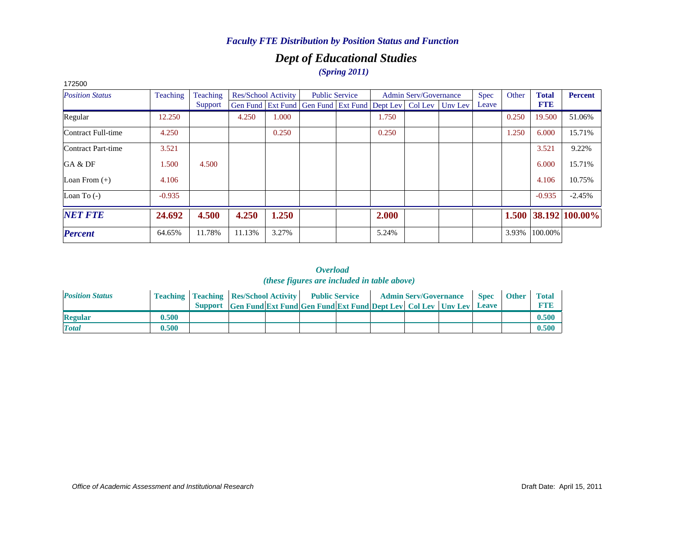# *Dept of Educational Studies*

*(Spring 2011)*

| 172500                 |          |          |        |                     |                                                                |       |                              |         |             |       |              |                            |
|------------------------|----------|----------|--------|---------------------|----------------------------------------------------------------|-------|------------------------------|---------|-------------|-------|--------------|----------------------------|
| <b>Position Status</b> | Teaching | Teaching |        | Res/School Activity | <b>Public Service</b>                                          |       | <b>Admin Serv/Governance</b> |         | <b>Spec</b> | Other | <b>Total</b> | <b>Percent</b>             |
|                        |          | Support  |        |                     | Gen Fund   Ext Fund   Gen Fund   Ext Fund   Dept Lev   Col Lev |       |                              | Unv Lev | Leave       |       | <b>FTE</b>   |                            |
| Regular                | 12.250   |          | 4.250  | 1.000               |                                                                | 1.750 |                              |         |             | 0.250 | 19.500       | 51.06%                     |
| Contract Full-time     | 4.250    |          |        | 0.250               |                                                                | 0.250 |                              |         |             | 1.250 | 6.000        | 15.71%                     |
| Contract Part-time     | 3.521    |          |        |                     |                                                                |       |                              |         |             |       | 3.521        | 9.22%                      |
| GA & DF                | 1.500    | 4.500    |        |                     |                                                                |       |                              |         |             |       | 6.000        | 15.71%                     |
| Loan From $(+)$        | 4.106    |          |        |                     |                                                                |       |                              |         |             |       | 4.106        | 10.75%                     |
| Loan To $(-)$          | $-0.935$ |          |        |                     |                                                                |       |                              |         |             |       | $-0.935$     | $-2.45%$                   |
| <b>NET FTE</b>         | 24.692   | 4.500    | 4.250  | 1.250               |                                                                | 2.000 |                              |         |             |       |              | $1.500$   38.192   100.00% |
| <b>Percent</b>         | 64.65%   | 11.78%   | 11.13% | 3.27%               |                                                                | 5.24% |                              |         |             | 3.93% | 100.00%      |                            |

| <b>Position Status</b> |       | <b>Teaching   Teaching   Res/School Activity  </b> |                                                                      | <b>Public Service</b> |  | <b>Admin Serv/Governance</b> | <b>Spec</b>  | <b>Other</b> | <b>Total</b> |
|------------------------|-------|----------------------------------------------------|----------------------------------------------------------------------|-----------------------|--|------------------------------|--------------|--------------|--------------|
|                        |       |                                                    | Support Gen Fund Ext Fund Gen Fund Ext Fund Dept Lev Col Lev Unv Lev |                       |  |                              | <b>Leave</b> |              | <b>FTE</b>   |
| <b>Regular</b>         | 0.500 |                                                    |                                                                      |                       |  |                              |              |              | 0.500        |
| <b>Total</b>           | 0.500 |                                                    |                                                                      |                       |  |                              |              |              | 0.500        |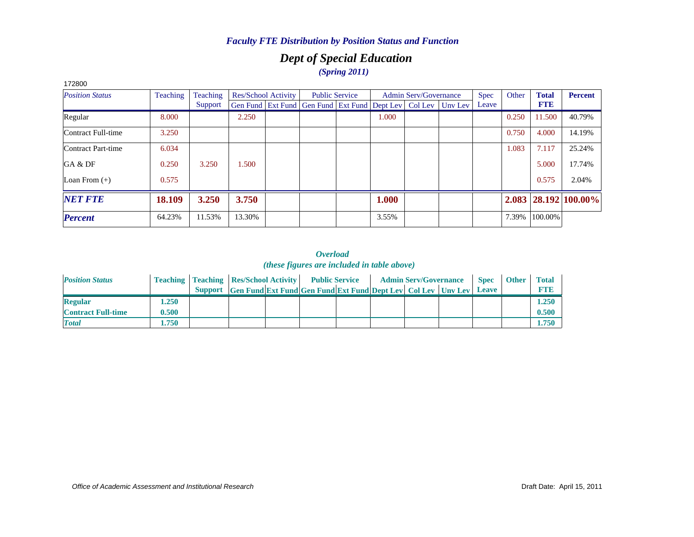# *Dept of Special Education (Spring 2011)*

| 172800                 |          |          |        |                     |                                                                  |       |                              |             |       |              |                            |
|------------------------|----------|----------|--------|---------------------|------------------------------------------------------------------|-------|------------------------------|-------------|-------|--------------|----------------------------|
| <b>Position Status</b> | Teaching | Teaching |        | Res/School Activity | <b>Public Service</b>                                            |       | <b>Admin Serv/Governance</b> | <b>Spec</b> | Other | <b>Total</b> | <b>Percent</b>             |
|                        |          | Support  |        |                     | Gen Fund Ext Fund Gen Fund Ext Fund Dept Lev   Col Lev   Unv Lev |       |                              | Leave       |       | <b>FTE</b>   |                            |
| Regular                | 8.000    |          | 2.250  |                     |                                                                  | 1.000 |                              |             | 0.250 | 11.500       | 40.79%                     |
| Contract Full-time     | 3.250    |          |        |                     |                                                                  |       |                              |             | 0.750 | 4.000        | 14.19%                     |
| Contract Part-time     | 6.034    |          |        |                     |                                                                  |       |                              |             | 1.083 | 7.117        | 25.24%                     |
| GA & DF                | 0.250    | 3.250    | 1.500  |                     |                                                                  |       |                              |             |       | 5.000        | 17.74%                     |
| Loan From $(+)$        | 0.575    |          |        |                     |                                                                  |       |                              |             |       | 0.575        | 2.04%                      |
| <b>NET FTE</b>         | 18.109   | 3.250    | 3.750  |                     |                                                                  | 1.000 |                              |             |       |              | $2.083$   28.192   100.00% |
| <b>Percent</b>         | 64.23%   | 11.53%   | 13.30% |                     |                                                                  | 3.55% |                              |             | 7.39% | 100.00%      |                            |

| <b>Position Status</b>    |       | <b>Teaching   Teaching   Res/School Activity   Public Service</b> |                                                                            |  |  | <b>Admin Serv/Governance</b> | <b>Spec</b> | <b>Other</b> | <b>Total</b> |
|---------------------------|-------|-------------------------------------------------------------------|----------------------------------------------------------------------------|--|--|------------------------------|-------------|--------------|--------------|
|                           |       |                                                                   | Support Gen Fund Ext Fund Gen Fund Ext Fund Dept Lev Col Lev Unv Lev Leave |  |  |                              |             |              | <b>FTE</b>   |
| <b>Regular</b>            | 1.250 |                                                                   |                                                                            |  |  |                              |             |              | 1.250        |
| <b>Contract Full-time</b> | 0.500 |                                                                   |                                                                            |  |  |                              |             |              | 0.500        |
| <b>Total</b>              | .750  |                                                                   |                                                                            |  |  |                              |             |              | 1.750        |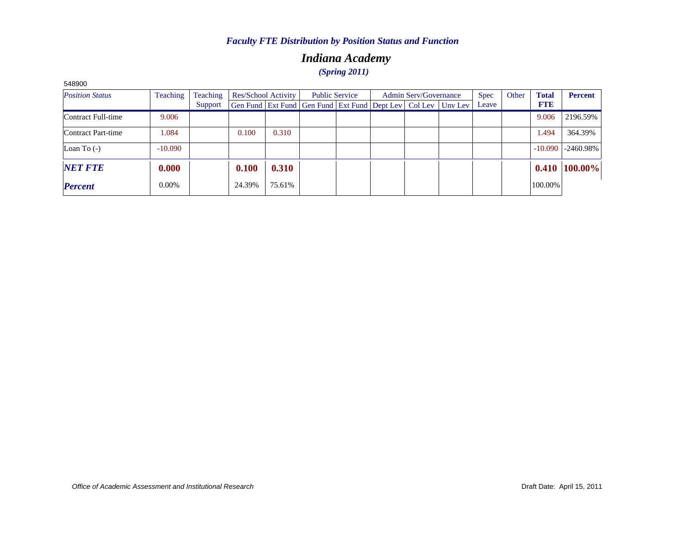# *Indiana Academy (Spring 2011)*

| <b>DURQPC</b>          |                 |          |                     |        |                                                              |  |                              |  |  |             |       |              |                 |
|------------------------|-----------------|----------|---------------------|--------|--------------------------------------------------------------|--|------------------------------|--|--|-------------|-------|--------------|-----------------|
| <b>Position Status</b> | <b>Teaching</b> | Teaching | Res/School Activity |        | <b>Public Service</b>                                        |  | <b>Admin Serv/Governance</b> |  |  | <b>Spec</b> | Other | <b>Total</b> | <b>Percent</b>  |
|                        |                 | Support  |                     |        | Gen Fund Ext Fund Gen Fund Ext Fund Dept Lev Col Lev Unv Lev |  |                              |  |  | Leave       |       | <b>FTE</b>   |                 |
| Contract Full-time     | 9.006           |          |                     |        |                                                              |  |                              |  |  |             |       | 9.006        | 2196.59%        |
| Contract Part-time     | 1.084           |          | 0.100               | 0.310  |                                                              |  |                              |  |  |             |       | 1.494        | 364.39%         |
| Loan To $(-)$          | $-10.090$       |          |                     |        |                                                              |  |                              |  |  |             |       | $-10.090$    | -2460.98%       |
| <b>NET FTE</b>         | 0.000           |          | 0.100               | 0.310  |                                                              |  |                              |  |  |             |       |              | $0.410$ 100.00% |
| <b>Percent</b>         | 0.00%           |          | 24.39%              | 75.61% |                                                              |  |                              |  |  |             |       | 100.00%      |                 |

548900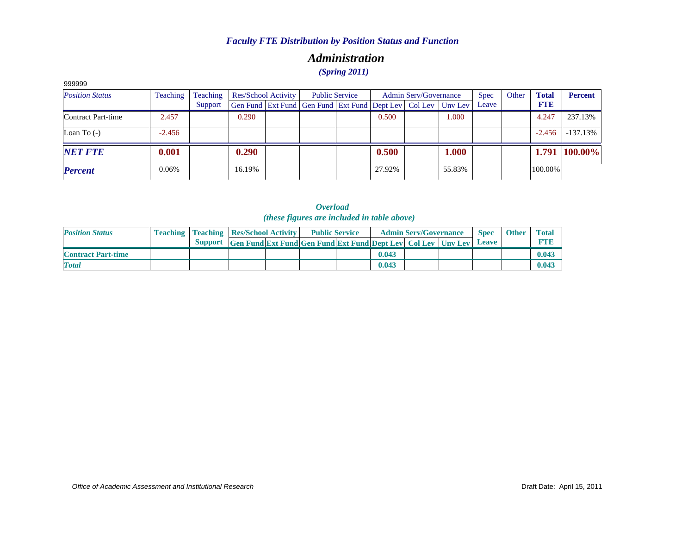## *Administration (Spring 2011)*

| 999999                 |                                                    |         |                       |  |                                                                |  |        |             |         |              |                |            |            |
|------------------------|----------------------------------------------------|---------|-----------------------|--|----------------------------------------------------------------|--|--------|-------------|---------|--------------|----------------|------------|------------|
| <b>Position Status</b> | Teaching<br>Teaching<br><b>Res/School Activity</b> |         | <b>Public Service</b> |  | <b>Admin Serv/Governance</b>                                   |  |        | <b>Spec</b> | Other   | <b>Total</b> | <b>Percent</b> |            |            |
|                        |                                                    | Support |                       |  | Gen Fund   Ext Fund   Gen Fund   Ext Fund   Dept Lev   Col Lev |  |        |             | Unv Lev | Leave        |                | <b>FTE</b> |            |
| Contract Part-time     | 2.457                                              |         | 0.290                 |  |                                                                |  | 0.500  |             | 1.000   |              |                | 4.247      | 237.13%    |
| Loan To $(-)$          | $-2.456$                                           |         |                       |  |                                                                |  |        |             |         |              |                | $-2.456$   | -137.13%   |
| <b>NET FTE</b>         | 0.001                                              |         | 0.290                 |  |                                                                |  | 0.500  |             | 1.000   |              |                | 1.791      | $100.00\%$ |
| <b>Percent</b>         | 0.06%                                              |         | 16.19%                |  |                                                                |  | 27.92% |             | 55.83%  |              |                | 100.00%    |            |

*Overload (these figures are included in table above)*

| <b>Position Status</b>    |  | <b>Teaching   Teaching   Res/School Activity  </b>                              |  | <b>Public Service</b> |       | <b>Admin Serv/Governance</b> | <b>Spec</b>       | <b>Other</b> | <b>Total</b> |
|---------------------------|--|---------------------------------------------------------------------------------|--|-----------------------|-------|------------------------------|-------------------|--------------|--------------|
|                           |  | <b>Support</b> Gen Fund Ext Fund Gen Fund Ext Fund Dept Lev   Col Lev   Unv Lev |  |                       |       |                              | $\mathbf{L}$ eave |              | <b>FTR</b>   |
| <b>Contract Part-time</b> |  |                                                                                 |  |                       | 0.043 |                              |                   |              | 0.043        |
| <b>T</b> otal             |  |                                                                                 |  |                       | 0.043 |                              |                   |              | 0.043        |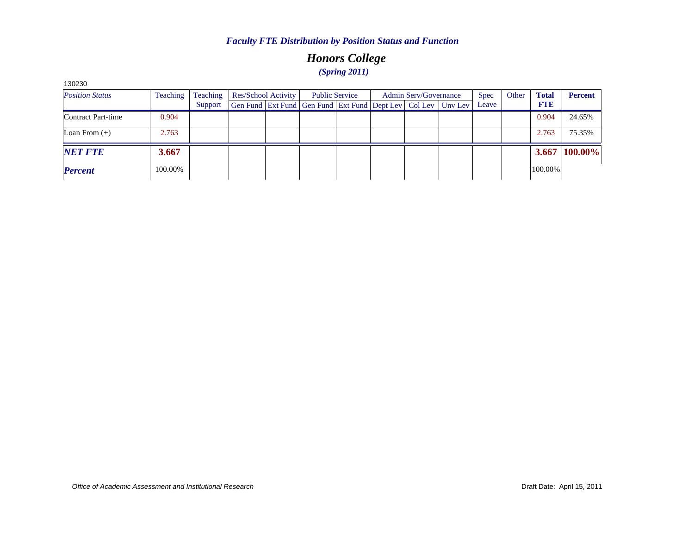# *Honors College (Spring 2011)*

| <b>Position Status</b> | Teaching | Teaching | Res/School Activity |                                                                | <b>Public Service</b> | <b>Admin Serv/Governance</b> |  |         | <b>Spec</b> | Other | <b>Total</b> | <b>Percent</b> |
|------------------------|----------|----------|---------------------|----------------------------------------------------------------|-----------------------|------------------------------|--|---------|-------------|-------|--------------|----------------|
|                        |          | Support  |                     | Gen Fund   Ext Fund   Gen Fund   Ext Fund   Dept Lev   Col Lev |                       |                              |  | Unv Lev | Leave       |       | <b>FTE</b>   |                |
| Contract Part-time     | 0.904    |          |                     |                                                                |                       |                              |  |         |             |       | 0.904        | 24.65%         |
| Loan From $(+)$        | 2.763    |          |                     |                                                                |                       |                              |  |         |             |       | 2.763        | 75.35%         |
| <b>NET FTE</b>         | 3.667    |          |                     |                                                                |                       |                              |  |         |             |       | 3.667        | 100.00%        |
| <b>Percent</b>         | 100.00%  |          |                     |                                                                |                       |                              |  |         |             |       | 100.00%      |                |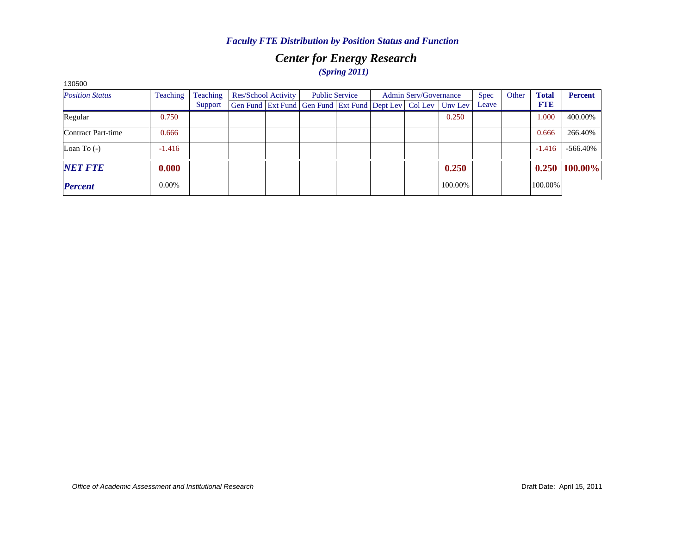# *Center for Energy Research (Spring 2011)*

| 130500                 |                 |                     |                     |  |                                                              |  |                              |  |         |             |       |              |                 |
|------------------------|-----------------|---------------------|---------------------|--|--------------------------------------------------------------|--|------------------------------|--|---------|-------------|-------|--------------|-----------------|
| <b>Position Status</b> | <b>Teaching</b> | Teaching<br>Support | Res/School Activity |  | <b>Public Service</b>                                        |  | <b>Admin Serv/Governance</b> |  |         | <b>Spec</b> | Other | <b>Total</b> | <b>Percent</b>  |
|                        |                 |                     |                     |  | Gen Fund Ext Fund Gen Fund Ext Fund Dept Lev Col Lev Unv Lev |  |                              |  |         | Leave       |       | <b>FTE</b>   |                 |
| Regular                | 0.750           |                     |                     |  |                                                              |  |                              |  | 0.250   |             |       | 1.000        | 400.00%         |
| Contract Part-time     | 0.666           |                     |                     |  |                                                              |  |                              |  |         |             |       | 0.666        | 266.40%         |
| Loan To $(-)$          | $-1.416$        |                     |                     |  |                                                              |  |                              |  |         |             |       | $-1.416$     | $-566.40\%$     |
| <b>NET FTE</b>         | 0.000           |                     |                     |  |                                                              |  |                              |  | 0.250   |             |       |              | $0.250$ 100.00% |
| <b>Percent</b>         | 0.00%           |                     |                     |  |                                                              |  |                              |  | 100.00% |             |       | 100.00%      |                 |

*Office of Academic Assessment and Institutional Research*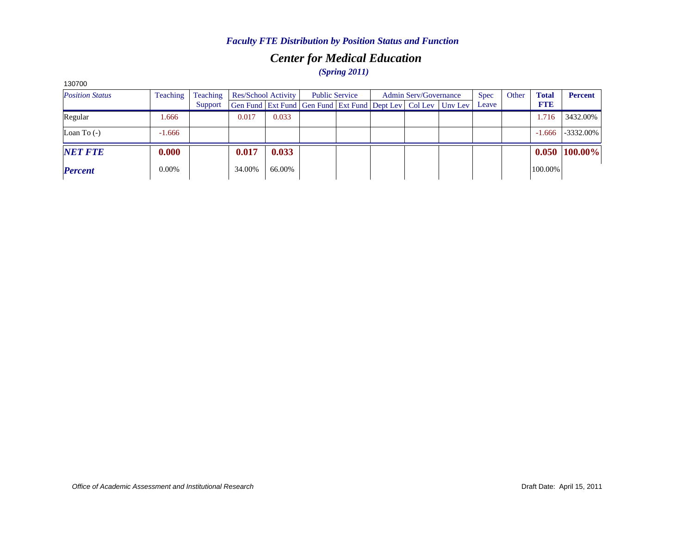# *Center for Medical Education*

*(Spring 2011)*

| 130700                 |          |          |                                                              |                     |  |                       |  |                              |  |       |       |              |                |
|------------------------|----------|----------|--------------------------------------------------------------|---------------------|--|-----------------------|--|------------------------------|--|-------|-------|--------------|----------------|
| <b>Position Status</b> | Teaching | Teaching |                                                              | Res/School Activity |  | <b>Public Service</b> |  | <b>Admin Serv/Governance</b> |  |       | Other | <b>Total</b> | <b>Percent</b> |
|                        |          | Support  | Gen Fund Ext Fund Gen Fund Ext Fund Dept Lev Col Lev Unv Lev |                     |  |                       |  |                              |  | Leave |       | <b>FTE</b>   |                |
| Regular                | 1.666    |          | 0.017                                                        | 0.033               |  |                       |  |                              |  |       |       | 1.716        | 3432.00%       |
| Loan To $(-)$          | $-1.666$ |          |                                                              |                     |  |                       |  |                              |  |       |       | $-1.666$     | $-3332.00\%$   |
| <b>NET FTE</b>         | 0.000    |          | 0.017                                                        | 0.033               |  |                       |  |                              |  |       |       | 0.050        | 100.00%        |
| <b>Percent</b>         | $0.00\%$ |          | 34.00%                                                       | 66.00%              |  |                       |  |                              |  |       |       | 100.00%      |                |